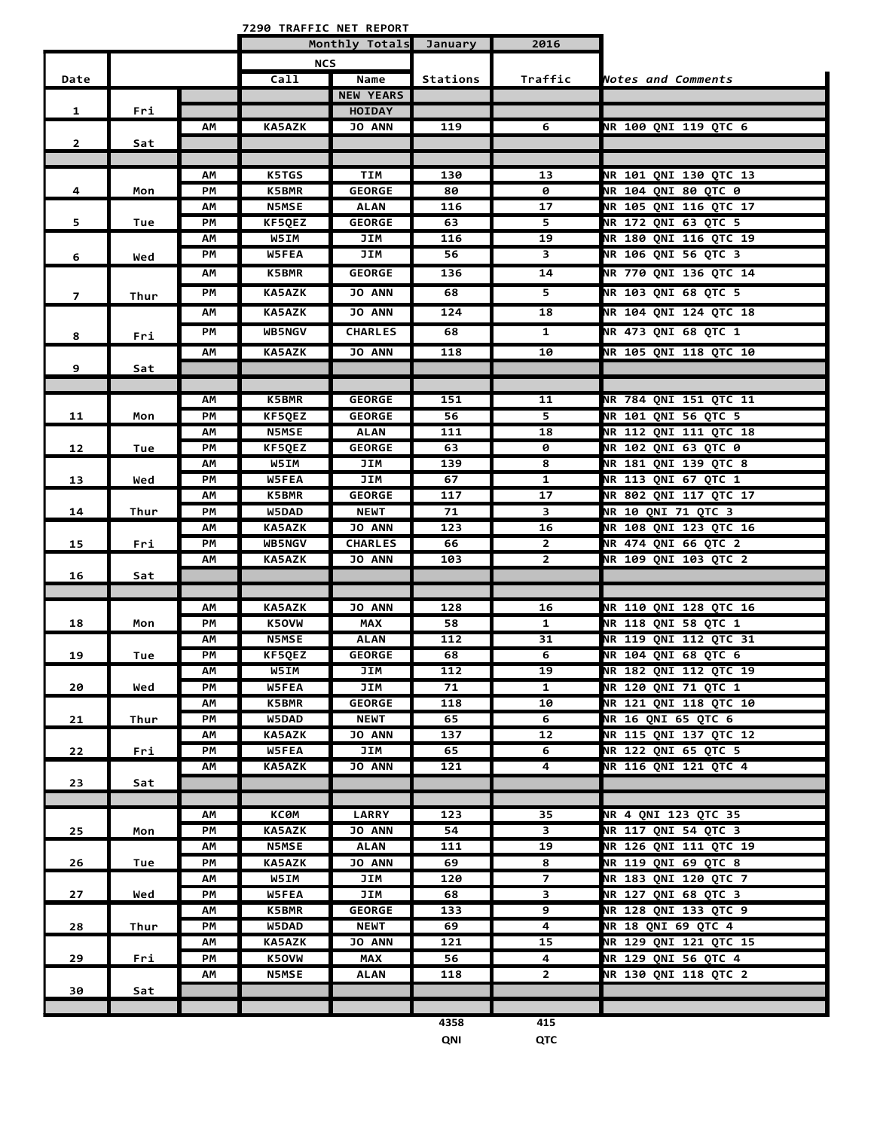**7290 TRAFFIC NET REPORT**

|                |      | Monthly Totals |               | January          | 2016     |                |                              |
|----------------|------|----------------|---------------|------------------|----------|----------------|------------------------------|
|                |      |                | <b>NCS</b>    |                  |          |                |                              |
| Date           |      |                | Ca11          | Name             | Stations | Traffic        | Notes and Comments           |
|                |      |                |               | <b>NEW YEARS</b> |          |                |                              |
| 1              | Fri  |                |               | <b>HOIDAY</b>    |          |                |                              |
|                |      | АM             | <b>KA5AZK</b> | <b>JO ANN</b>    | 119      | $\overline{6}$ | <b>NR 100 QNI 119 QTC 6</b>  |
| $\overline{2}$ | Sat  |                |               |                  |          |                |                              |
|                |      |                |               |                  |          |                |                              |
|                |      | ΑМ             | <b>K5TGS</b>  | <b>TIM</b>       | 130      | 13             | NR 101 QNI 130 QTC 13        |
| 4              | Mon  | PМ             | <b>K5BMR</b>  | <b>GEORGE</b>    | 80       | 0              | <b>NR 104 QNI 80 QTC 0</b>   |
|                |      | АΜ             | <b>N5MSE</b>  | ALAN             | 116      | 17             | NR 105 QNI 116 QTC 17        |
| 5              | Tue  | PМ             | KF5QEZ        | <b>GEORGE</b>    | 63       | 5              | NR 172 QNI 63 QTC 5          |
|                |      | ΑМ             | W5IM          | JIM              | 116      | 19             | NR 180 QNI 116 QTC 19        |
| 6              | Wed  | PМ             | W5FEA         | JIM              | 56       | 3              | NR 106 QNI 56 QTC 3          |
|                |      | АM             | <b>K5BMR</b>  | <b>GEORGE</b>    | 136      | 14             | <b>NR 770 QNI 136 QTC 14</b> |
| $\overline{7}$ | Thur | PМ             | <b>KA5AZK</b> | <b>JO ANN</b>    | 68       | 5              | NR 103 QNI 68 QTC 5          |
|                |      | ΑМ             | <b>KA5AZK</b> | <b>JO ANN</b>    | 124      | 18             | NR 104 QNI 124 QTC 18        |
|                |      | PМ             | <b>WB5NGV</b> | <b>CHARLES</b>   | 68       | $\mathbf{1}$   | NR 473 QNI 68 QTC 1          |
| 8              | Fri  |                |               |                  |          |                |                              |
|                |      | АM             | <b>KA5AZK</b> | <b>JO ANN</b>    | 118      | 10             | <b>NR 105 QNI 118 QTC 10</b> |
| 9              | Sat  |                |               |                  |          |                |                              |
|                |      | АM             | <b>K5BMR</b>  | <b>GEORGE</b>    | 151      | 11             | NR 784 QNI 151 QTC 11        |
| 11             |      | PМ             | KF5QEZ        | <b>GEORGE</b>    | 56       | 5              | NR 101 QNI 56 QTC 5          |
|                | Mon  | ΑМ             | <b>N5MSE</b>  | <b>ALAN</b>      | 111      | 18             | <b>NR 112 QNI 111 QTC 18</b> |
| 12             | Tue  | PМ             | KF5QEZ        | <b>GEORGE</b>    | 63       | 0              | <b>NR 102 QNI 63 QTC 0</b>   |
|                |      | ΑМ             | W5IM          | JIM              | 139      | 8              | NR 181 QNI 139 QTC 8         |
| 13             | Wed  | PМ             | W5FEA         | JIM              | 67       | 1              | NR 113 QNI 67 QTC 1          |
|                |      | ΑМ             | <b>K5BMR</b>  | <b>GEORGE</b>    | 117      | 17             | <b>NR 802 QNI 117 QTC 17</b> |
| 14             | Thur | PМ             | W5DAD         | <b>NEWT</b>      | 71       | 3              | <b>NR 10 QNI 71 QTC 3</b>    |
|                |      | АΜ             | <b>KA5AZK</b> | <b>JO ANN</b>    | 123      | 16             | <b>NR 108 QNI 123 QTC 16</b> |
| 15             | Fri  | PМ             | WB5NGV        | <b>CHARLES</b>   | 66       | $\mathbf{2}$   | NR 474 QNI 66 QTC 2          |
|                |      | ΑМ             | <b>KA5AZK</b> | JO ANN           | 103      | $\overline{2}$ | NR 109 QNI 103 QTC 2         |
| 16             | Sat  |                |               |                  |          |                |                              |
|                |      |                |               |                  |          |                |                              |
|                |      | АΜ             | <b>KA5AZK</b> | <b>JO ANN</b>    | 128      | 16             | NR 110 QNI 128 QTC 16        |
| 18             | Mon  | PМ             | <b>K5OVW</b>  | MAX              | 58       | $\mathbf{1}$   | NR 118 QNI 58 QTC 1          |
|                |      | АΜ             | <b>N5MSE</b>  | <b>ALAN</b>      | 112      | 31             | <b>NR 119 QNI 112 QTC 31</b> |
| 19             | Tue  | PM             | KF5QEZ        | <b>GEORGE</b>    | 68       | 6              | NR 104 QNI 68 QTC 6          |
|                |      | AM             | W5IM          | JIM              | 112      | 19             | NR 182 QNI 112 QTC 19        |
| 20             | Wed  | PМ             | W5FEA         | <b>JIM</b>       | 71       | $\mathbf{1}$   | NR 120 QNI 71 QTC 1          |
|                |      | ΑМ             | <b>K5BMR</b>  | <b>GEORGE</b>    | 118      | 10             | <b>NR 121 QNI 118 QTC 10</b> |
| 21             | Thur | PМ             | <b>W5DAD</b>  | <b>NEWT</b>      | 65       | 6              | <b>NR 16 ONI 65 OTC 6</b>    |
|                |      | ΑМ             | <b>KA5AZK</b> | <b>JO ANN</b>    | 137      | 12             | NR 115 QNI 137 QTC 12        |
| 22             | Fri  | PМ             | <b>W5FEA</b>  | JIM              | 65       | 6              | NR 122 QNI 65 QTC 5          |
|                |      | АM             | <b>KA5AZK</b> | <b>JO ANN</b>    | 121      | 4              | <b>NR 116 QNI 121 QTC 4</b>  |
| 23             | Sat  |                |               |                  |          |                |                              |
|                |      | ΑМ             | КСӨМ          | <b>LARRY</b>     | 123      | 35             | NR 4 QNI 123 QTC 35          |
| 25             | Mon  | PМ             | <b>KA5AZK</b> | <b>JO ANN</b>    | 54       | 3              | NR 117 QNI 54 QTC 3          |
|                |      | ΑМ             | <b>N5MSE</b>  | <b>ALAN</b>      | 111      | 19             | <b>NR 126 QNI 111 QTC 19</b> |
| 26             | Tue  | PМ             | <b>KA5AZK</b> | <b>JO ANN</b>    | 69       | 8              | NR 119 QNI 69 QTC 8          |
|                |      | ΑМ             | W5IM          | JIM              | 120      | $\overline{7}$ | NR 183 QNI 120 QTC 7         |
| 27             | Wed  | PМ             | W5FEA         | JIM              | 68       | 3              | NR 127 QNI 68 QTC 3          |
|                |      | ΑМ             | <b>K5BMR</b>  | <b>GEORGE</b>    | 133      | 9              | NR 128 QNI 133 QTC 9         |
| 28             | Thur | PМ             | <b>W5DAD</b>  | NEWT             | 69       | 4              | <b>NR 18 QNI 69 QTC 4</b>    |
|                |      | ΑМ             | <b>KA5AZK</b> | <b>JO ANN</b>    | 121      | 15             | NR 129 QNI 121 QTC 15        |
| 29             | Fri  | PM             | K5OVW         | <b>MAX</b>       | 56       | 4              | NR 129 QNI 56 QTC 4          |
|                |      | ΑМ             | <b>N5MSE</b>  | <b>ALAN</b>      | 118      | $\overline{2}$ | NR 130 QNI 118 QTC 2         |
| 30             | Sat  |                |               |                  |          |                |                              |
|                |      |                |               |                  |          |                |                              |
|                |      |                |               |                  |          |                |                              |

 **4358 415 QNI QTC**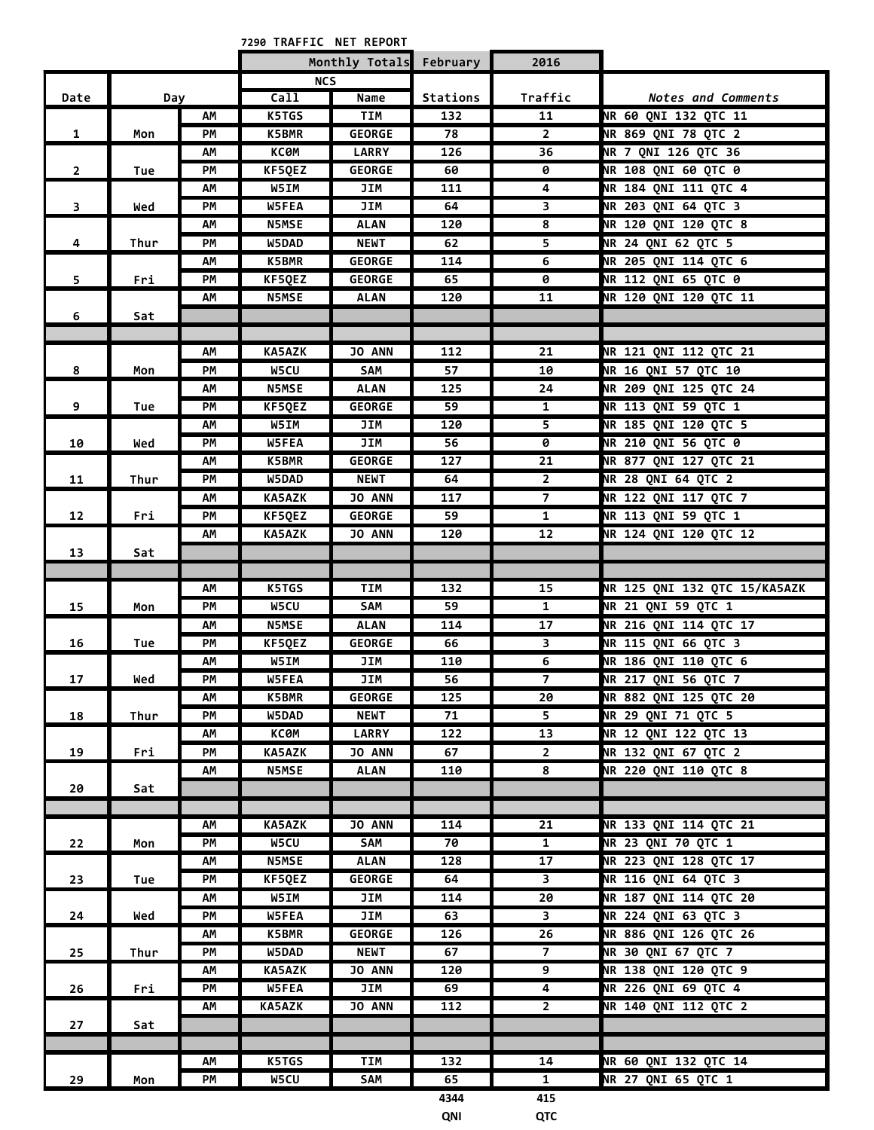**NET REPORT 7290 TRAFFIC** 

| <b>NCS</b><br>Call<br>Traffic<br>Name<br>Stations<br>Date<br><b>Notes and Comments</b><br>Day<br><b>TIM</b><br>11<br><b>NR 60 QNI 132 QTC 11</b><br>AM<br>K5TGS<br>132<br>PM<br>K5BMR<br><b>GEORGE</b><br><b>NR 869 QNI 78 QTC 2</b><br>78<br>$\mathbf{1}$<br>$\mathbf{2}$<br>Mon<br>NR 7 QNI 126 QTC 36<br>AM<br><b>KC0M</b><br><b>LARRY</b><br>126<br>36<br><b>NR 108 QNI 60 QTC 0</b><br>PM<br>KF5QEZ<br><b>GEORGE</b><br>$\overline{2}$<br>60<br>0<br>Tue<br><b>NR 184 QNI 111 QTC 4</b><br>W5IM<br>4<br>AM<br>JIM<br>111<br>NR 203 QNI 64 QTC 3<br>PM<br>W5FEA<br>JIM<br>64<br>3<br>$\overline{\mathbf{3}}$<br>Wed<br><b>NR 120 QNI 120 QTC 8</b><br><b>N5MSE</b><br><b>ALAN</b><br>8<br>АΜ<br>120<br><b>NR 24 QNI 62 QTC 5</b><br>5<br>PM<br>W5DAD<br><b>NEWT</b><br>62<br>4<br>Thur<br>NR 205 QNI 114 QTC 6<br>K5BMR<br><b>GEORGE</b><br>114<br>6<br>АΜ<br>5<br><b>NR 112 QNI 65 QTC 0</b><br>PM<br>KF5QEZ<br><b>GEORGE</b><br>65<br>0<br>Fri<br>NR 120 QNI 120 QTC 11<br>11<br>АΜ<br><b>N5MSE</b><br>ALAN<br>120<br>6<br>Sat<br>KA5AZK<br>JO ANN<br>112<br>21<br>NR 121 QNI 112 QTC 21<br>AM<br><b>NR 16 QNI 57 QTC 10</b><br>8<br>W5CU<br>57<br>10<br>PМ<br>SAM<br>Mon<br>NR 209 QNI 125 QTC 24<br>N5MSE<br><b>ALAN</b><br>125<br>24<br>AM<br>NR 113 QNI 59 QTC 1<br>9<br>PM<br>KF5QEZ<br><b>GEORGE</b><br>59<br>$\mathbf{1}$<br>Tue<br>NR 185 QNI 120 QTC 5<br>W5IM<br>JIM<br>AM<br>120<br>5<br><b>NR 210 QNI 56 QTC 0</b><br>W5FEA<br>PM<br>JIM<br>56<br>0<br>10<br>Wed<br><b>NR 877 QNI 127 QTC 21</b><br>K5BMR<br><b>GEORGE</b><br>127<br>21<br>AM<br><b>NR 28 QNI 64 QTC 2</b><br>PM<br>W5DAD<br><b>NEWT</b><br>$2^{\circ}$<br>64<br>11<br>Thur<br><b>NR 122 QNI 117 QTC 7</b><br>$\overline{7}$<br>KA5AZK<br><b>JO ANN</b><br>117<br>AM<br><b>NR 113 QNI 59 QTC 1</b><br>PM<br>KF5QEZ<br><b>GEORGE</b><br>59<br>$\mathbf{1}$<br>12<br>Fri<br><b>NR 124 QNI 120 QTC 12</b><br>12<br>AM<br><b>KA5AZK</b><br><b>JO ANN</b><br>120<br>13<br>Sat<br>NR 125 QNI 132 QTC 15/KA5AZK<br><b>K5TGS</b><br>TIM<br>132<br>15<br>АΜ<br><b>NR 21 QNI 59 QTC 1</b><br>PM<br>W5CU<br>15<br>SAM<br>59<br>$\mathbf{1}$<br>Mon<br>N5MSE<br><b>ALAN</b><br>17<br>NR 216 QNI 114 QTC 17<br>114<br>АΜ<br>NR 115 QNI 66 QTC 3<br><b>GEORGE</b><br>3<br>PM<br>KF5QEZ<br>66<br>16<br>Tue<br>NR 186 QNI 110 QTC 6<br>6<br>W5IM<br>110<br>АΜ<br>JIM<br>NR 217 QNI 56 QTC 7<br>56<br>7<br>17<br>PM<br>W5FEA<br>JIM<br>Wed<br>NR 882 QNI 125 QTC 20<br>K5BMR<br><b>GEORGE</b><br>AM<br>125<br>20<br>PM<br>W5DAD<br><b>NEWT</b><br>71<br>5<br><b>NR 29 QNI 71 QTC 5</b><br>18<br>Thur<br>13<br>NR 12 QNI 122 QTC 13<br><b>KC0M</b><br><b>LARRY</b><br>122<br>АΜ<br>NR 132 QNI 67 QTC 2<br>19<br>Fri<br>PM<br><b>KA5AZK</b><br>JO ANN<br>67<br>$2^{\circ}$<br>NR 220 QNI 110 QTC 8<br><b>N5MSE</b><br>110<br>8<br>АΜ<br><b>ALAN</b><br>20<br>Sat<br>KA5AZK<br><b>JO ANN</b><br>21<br>NR 133 QNI 114 QTC 21<br>AM<br>114<br>W5CU<br><b>NR 23 QNI 70 QTC 1</b><br>PM<br>SAM<br>70<br>$\mathbf{1}$<br>22<br>Mon<br><b>NR 223 QNI 128 QTC 17</b><br><b>N5MSE</b><br>AM<br><b>ALAN</b><br>128<br>17<br><b>NR 116 QNI 64 QTC 3</b><br>PM<br><b>GEORGE</b><br>$\overline{\mathbf{3}}$<br>23<br>Tue<br>KF5QEZ<br>64<br><b>NR 187 QNI 114 QTC 20</b><br>AM<br>W5IM<br>JIM<br>114<br>20<br>$\mathbf{3}$<br><b>NR 224 QNI 63 QTC 3</b><br>24<br>PM<br><b>W5FEA</b><br>JIM<br>63<br>Wed<br><b>NR 886 QNI 126 QTC 26</b><br>26<br>AM<br><b>K5BMR</b><br><b>GEORGE</b><br>126<br>$\overline{7}$<br><b>NR 30 QNI 67 QTC 7</b><br>25<br><b>NEWT</b><br>67<br>Thur<br>PM<br>W5DAD<br>$\overline{9}$<br><b>NR 138 QNI 120 QTC 9</b><br><b>KA5AZK</b><br><b>JO ANN</b><br>120<br>АΜ<br><b>NR 226 QNI 69 QTC 4</b><br>PM<br>JIM<br>4<br>26<br><b>W5FEA</b><br>69<br>Fri<br><b>NR 140 QNI 112 QTC 2</b><br><b>KA5AZK</b><br><b>JO ANN</b><br>112<br>$2^{\circ}$<br>АΜ<br>27<br>Sat<br>K5TGS<br><b>TIM</b><br>14<br>NR 60 QNI 132 QTC 14<br>АΜ<br>132<br><b>NR 27 QNI 65 QTC 1</b><br>W5CU<br>PM<br>SAM<br>65<br>$\mathbf{1}$<br>29<br>Mon<br>415<br>4344 |  |  | Monthly Totals February | 2016 |  |
|--------------------------------------------------------------------------------------------------------------------------------------------------------------------------------------------------------------------------------------------------------------------------------------------------------------------------------------------------------------------------------------------------------------------------------------------------------------------------------------------------------------------------------------------------------------------------------------------------------------------------------------------------------------------------------------------------------------------------------------------------------------------------------------------------------------------------------------------------------------------------------------------------------------------------------------------------------------------------------------------------------------------------------------------------------------------------------------------------------------------------------------------------------------------------------------------------------------------------------------------------------------------------------------------------------------------------------------------------------------------------------------------------------------------------------------------------------------------------------------------------------------------------------------------------------------------------------------------------------------------------------------------------------------------------------------------------------------------------------------------------------------------------------------------------------------------------------------------------------------------------------------------------------------------------------------------------------------------------------------------------------------------------------------------------------------------------------------------------------------------------------------------------------------------------------------------------------------------------------------------------------------------------------------------------------------------------------------------------------------------------------------------------------------------------------------------------------------------------------------------------------------------------------------------------------------------------------------------------------------------------------------------------------------------------------------------------------------------------------------------------------------------------------------------------------------------------------------------------------------------------------------------------------------------------------------------------------------------------------------------------------------------------------------------------------------------------------------------------------------------------------------------------------------------------------------------------------------------------------------------------------------------------------------------------------------------------------------------------------------------------------------------------------------------------------------------------------------------------------------------------------------------------------------------------------------------------------------------------------------------------------------------------------------------------------------------------------------------------------------------------------------------------------------------------------------------------------------------------------------------------------------------------------------------------------------------------------------------------------------------------------------------|--|--|-------------------------|------|--|
|                                                                                                                                                                                                                                                                                                                                                                                                                                                                                                                                                                                                                                                                                                                                                                                                                                                                                                                                                                                                                                                                                                                                                                                                                                                                                                                                                                                                                                                                                                                                                                                                                                                                                                                                                                                                                                                                                                                                                                                                                                                                                                                                                                                                                                                                                                                                                                                                                                                                                                                                                                                                                                                                                                                                                                                                                                                                                                                                                                                                                                                                                                                                                                                                                                                                                                                                                                                                                                                                                                                                                                                                                                                                                                                                                                                                                                                                                                                                                                                                                    |  |  |                         |      |  |
|                                                                                                                                                                                                                                                                                                                                                                                                                                                                                                                                                                                                                                                                                                                                                                                                                                                                                                                                                                                                                                                                                                                                                                                                                                                                                                                                                                                                                                                                                                                                                                                                                                                                                                                                                                                                                                                                                                                                                                                                                                                                                                                                                                                                                                                                                                                                                                                                                                                                                                                                                                                                                                                                                                                                                                                                                                                                                                                                                                                                                                                                                                                                                                                                                                                                                                                                                                                                                                                                                                                                                                                                                                                                                                                                                                                                                                                                                                                                                                                                                    |  |  |                         |      |  |
|                                                                                                                                                                                                                                                                                                                                                                                                                                                                                                                                                                                                                                                                                                                                                                                                                                                                                                                                                                                                                                                                                                                                                                                                                                                                                                                                                                                                                                                                                                                                                                                                                                                                                                                                                                                                                                                                                                                                                                                                                                                                                                                                                                                                                                                                                                                                                                                                                                                                                                                                                                                                                                                                                                                                                                                                                                                                                                                                                                                                                                                                                                                                                                                                                                                                                                                                                                                                                                                                                                                                                                                                                                                                                                                                                                                                                                                                                                                                                                                                                    |  |  |                         |      |  |
|                                                                                                                                                                                                                                                                                                                                                                                                                                                                                                                                                                                                                                                                                                                                                                                                                                                                                                                                                                                                                                                                                                                                                                                                                                                                                                                                                                                                                                                                                                                                                                                                                                                                                                                                                                                                                                                                                                                                                                                                                                                                                                                                                                                                                                                                                                                                                                                                                                                                                                                                                                                                                                                                                                                                                                                                                                                                                                                                                                                                                                                                                                                                                                                                                                                                                                                                                                                                                                                                                                                                                                                                                                                                                                                                                                                                                                                                                                                                                                                                                    |  |  |                         |      |  |
|                                                                                                                                                                                                                                                                                                                                                                                                                                                                                                                                                                                                                                                                                                                                                                                                                                                                                                                                                                                                                                                                                                                                                                                                                                                                                                                                                                                                                                                                                                                                                                                                                                                                                                                                                                                                                                                                                                                                                                                                                                                                                                                                                                                                                                                                                                                                                                                                                                                                                                                                                                                                                                                                                                                                                                                                                                                                                                                                                                                                                                                                                                                                                                                                                                                                                                                                                                                                                                                                                                                                                                                                                                                                                                                                                                                                                                                                                                                                                                                                                    |  |  |                         |      |  |
|                                                                                                                                                                                                                                                                                                                                                                                                                                                                                                                                                                                                                                                                                                                                                                                                                                                                                                                                                                                                                                                                                                                                                                                                                                                                                                                                                                                                                                                                                                                                                                                                                                                                                                                                                                                                                                                                                                                                                                                                                                                                                                                                                                                                                                                                                                                                                                                                                                                                                                                                                                                                                                                                                                                                                                                                                                                                                                                                                                                                                                                                                                                                                                                                                                                                                                                                                                                                                                                                                                                                                                                                                                                                                                                                                                                                                                                                                                                                                                                                                    |  |  |                         |      |  |
|                                                                                                                                                                                                                                                                                                                                                                                                                                                                                                                                                                                                                                                                                                                                                                                                                                                                                                                                                                                                                                                                                                                                                                                                                                                                                                                                                                                                                                                                                                                                                                                                                                                                                                                                                                                                                                                                                                                                                                                                                                                                                                                                                                                                                                                                                                                                                                                                                                                                                                                                                                                                                                                                                                                                                                                                                                                                                                                                                                                                                                                                                                                                                                                                                                                                                                                                                                                                                                                                                                                                                                                                                                                                                                                                                                                                                                                                                                                                                                                                                    |  |  |                         |      |  |
|                                                                                                                                                                                                                                                                                                                                                                                                                                                                                                                                                                                                                                                                                                                                                                                                                                                                                                                                                                                                                                                                                                                                                                                                                                                                                                                                                                                                                                                                                                                                                                                                                                                                                                                                                                                                                                                                                                                                                                                                                                                                                                                                                                                                                                                                                                                                                                                                                                                                                                                                                                                                                                                                                                                                                                                                                                                                                                                                                                                                                                                                                                                                                                                                                                                                                                                                                                                                                                                                                                                                                                                                                                                                                                                                                                                                                                                                                                                                                                                                                    |  |  |                         |      |  |
|                                                                                                                                                                                                                                                                                                                                                                                                                                                                                                                                                                                                                                                                                                                                                                                                                                                                                                                                                                                                                                                                                                                                                                                                                                                                                                                                                                                                                                                                                                                                                                                                                                                                                                                                                                                                                                                                                                                                                                                                                                                                                                                                                                                                                                                                                                                                                                                                                                                                                                                                                                                                                                                                                                                                                                                                                                                                                                                                                                                                                                                                                                                                                                                                                                                                                                                                                                                                                                                                                                                                                                                                                                                                                                                                                                                                                                                                                                                                                                                                                    |  |  |                         |      |  |
|                                                                                                                                                                                                                                                                                                                                                                                                                                                                                                                                                                                                                                                                                                                                                                                                                                                                                                                                                                                                                                                                                                                                                                                                                                                                                                                                                                                                                                                                                                                                                                                                                                                                                                                                                                                                                                                                                                                                                                                                                                                                                                                                                                                                                                                                                                                                                                                                                                                                                                                                                                                                                                                                                                                                                                                                                                                                                                                                                                                                                                                                                                                                                                                                                                                                                                                                                                                                                                                                                                                                                                                                                                                                                                                                                                                                                                                                                                                                                                                                                    |  |  |                         |      |  |
|                                                                                                                                                                                                                                                                                                                                                                                                                                                                                                                                                                                                                                                                                                                                                                                                                                                                                                                                                                                                                                                                                                                                                                                                                                                                                                                                                                                                                                                                                                                                                                                                                                                                                                                                                                                                                                                                                                                                                                                                                                                                                                                                                                                                                                                                                                                                                                                                                                                                                                                                                                                                                                                                                                                                                                                                                                                                                                                                                                                                                                                                                                                                                                                                                                                                                                                                                                                                                                                                                                                                                                                                                                                                                                                                                                                                                                                                                                                                                                                                                    |  |  |                         |      |  |
|                                                                                                                                                                                                                                                                                                                                                                                                                                                                                                                                                                                                                                                                                                                                                                                                                                                                                                                                                                                                                                                                                                                                                                                                                                                                                                                                                                                                                                                                                                                                                                                                                                                                                                                                                                                                                                                                                                                                                                                                                                                                                                                                                                                                                                                                                                                                                                                                                                                                                                                                                                                                                                                                                                                                                                                                                                                                                                                                                                                                                                                                                                                                                                                                                                                                                                                                                                                                                                                                                                                                                                                                                                                                                                                                                                                                                                                                                                                                                                                                                    |  |  |                         |      |  |
|                                                                                                                                                                                                                                                                                                                                                                                                                                                                                                                                                                                                                                                                                                                                                                                                                                                                                                                                                                                                                                                                                                                                                                                                                                                                                                                                                                                                                                                                                                                                                                                                                                                                                                                                                                                                                                                                                                                                                                                                                                                                                                                                                                                                                                                                                                                                                                                                                                                                                                                                                                                                                                                                                                                                                                                                                                                                                                                                                                                                                                                                                                                                                                                                                                                                                                                                                                                                                                                                                                                                                                                                                                                                                                                                                                                                                                                                                                                                                                                                                    |  |  |                         |      |  |
|                                                                                                                                                                                                                                                                                                                                                                                                                                                                                                                                                                                                                                                                                                                                                                                                                                                                                                                                                                                                                                                                                                                                                                                                                                                                                                                                                                                                                                                                                                                                                                                                                                                                                                                                                                                                                                                                                                                                                                                                                                                                                                                                                                                                                                                                                                                                                                                                                                                                                                                                                                                                                                                                                                                                                                                                                                                                                                                                                                                                                                                                                                                                                                                                                                                                                                                                                                                                                                                                                                                                                                                                                                                                                                                                                                                                                                                                                                                                                                                                                    |  |  |                         |      |  |
|                                                                                                                                                                                                                                                                                                                                                                                                                                                                                                                                                                                                                                                                                                                                                                                                                                                                                                                                                                                                                                                                                                                                                                                                                                                                                                                                                                                                                                                                                                                                                                                                                                                                                                                                                                                                                                                                                                                                                                                                                                                                                                                                                                                                                                                                                                                                                                                                                                                                                                                                                                                                                                                                                                                                                                                                                                                                                                                                                                                                                                                                                                                                                                                                                                                                                                                                                                                                                                                                                                                                                                                                                                                                                                                                                                                                                                                                                                                                                                                                                    |  |  |                         |      |  |
|                                                                                                                                                                                                                                                                                                                                                                                                                                                                                                                                                                                                                                                                                                                                                                                                                                                                                                                                                                                                                                                                                                                                                                                                                                                                                                                                                                                                                                                                                                                                                                                                                                                                                                                                                                                                                                                                                                                                                                                                                                                                                                                                                                                                                                                                                                                                                                                                                                                                                                                                                                                                                                                                                                                                                                                                                                                                                                                                                                                                                                                                                                                                                                                                                                                                                                                                                                                                                                                                                                                                                                                                                                                                                                                                                                                                                                                                                                                                                                                                                    |  |  |                         |      |  |
|                                                                                                                                                                                                                                                                                                                                                                                                                                                                                                                                                                                                                                                                                                                                                                                                                                                                                                                                                                                                                                                                                                                                                                                                                                                                                                                                                                                                                                                                                                                                                                                                                                                                                                                                                                                                                                                                                                                                                                                                                                                                                                                                                                                                                                                                                                                                                                                                                                                                                                                                                                                                                                                                                                                                                                                                                                                                                                                                                                                                                                                                                                                                                                                                                                                                                                                                                                                                                                                                                                                                                                                                                                                                                                                                                                                                                                                                                                                                                                                                                    |  |  |                         |      |  |
|                                                                                                                                                                                                                                                                                                                                                                                                                                                                                                                                                                                                                                                                                                                                                                                                                                                                                                                                                                                                                                                                                                                                                                                                                                                                                                                                                                                                                                                                                                                                                                                                                                                                                                                                                                                                                                                                                                                                                                                                                                                                                                                                                                                                                                                                                                                                                                                                                                                                                                                                                                                                                                                                                                                                                                                                                                                                                                                                                                                                                                                                                                                                                                                                                                                                                                                                                                                                                                                                                                                                                                                                                                                                                                                                                                                                                                                                                                                                                                                                                    |  |  |                         |      |  |
|                                                                                                                                                                                                                                                                                                                                                                                                                                                                                                                                                                                                                                                                                                                                                                                                                                                                                                                                                                                                                                                                                                                                                                                                                                                                                                                                                                                                                                                                                                                                                                                                                                                                                                                                                                                                                                                                                                                                                                                                                                                                                                                                                                                                                                                                                                                                                                                                                                                                                                                                                                                                                                                                                                                                                                                                                                                                                                                                                                                                                                                                                                                                                                                                                                                                                                                                                                                                                                                                                                                                                                                                                                                                                                                                                                                                                                                                                                                                                                                                                    |  |  |                         |      |  |
|                                                                                                                                                                                                                                                                                                                                                                                                                                                                                                                                                                                                                                                                                                                                                                                                                                                                                                                                                                                                                                                                                                                                                                                                                                                                                                                                                                                                                                                                                                                                                                                                                                                                                                                                                                                                                                                                                                                                                                                                                                                                                                                                                                                                                                                                                                                                                                                                                                                                                                                                                                                                                                                                                                                                                                                                                                                                                                                                                                                                                                                                                                                                                                                                                                                                                                                                                                                                                                                                                                                                                                                                                                                                                                                                                                                                                                                                                                                                                                                                                    |  |  |                         |      |  |
|                                                                                                                                                                                                                                                                                                                                                                                                                                                                                                                                                                                                                                                                                                                                                                                                                                                                                                                                                                                                                                                                                                                                                                                                                                                                                                                                                                                                                                                                                                                                                                                                                                                                                                                                                                                                                                                                                                                                                                                                                                                                                                                                                                                                                                                                                                                                                                                                                                                                                                                                                                                                                                                                                                                                                                                                                                                                                                                                                                                                                                                                                                                                                                                                                                                                                                                                                                                                                                                                                                                                                                                                                                                                                                                                                                                                                                                                                                                                                                                                                    |  |  |                         |      |  |
|                                                                                                                                                                                                                                                                                                                                                                                                                                                                                                                                                                                                                                                                                                                                                                                                                                                                                                                                                                                                                                                                                                                                                                                                                                                                                                                                                                                                                                                                                                                                                                                                                                                                                                                                                                                                                                                                                                                                                                                                                                                                                                                                                                                                                                                                                                                                                                                                                                                                                                                                                                                                                                                                                                                                                                                                                                                                                                                                                                                                                                                                                                                                                                                                                                                                                                                                                                                                                                                                                                                                                                                                                                                                                                                                                                                                                                                                                                                                                                                                                    |  |  |                         |      |  |
|                                                                                                                                                                                                                                                                                                                                                                                                                                                                                                                                                                                                                                                                                                                                                                                                                                                                                                                                                                                                                                                                                                                                                                                                                                                                                                                                                                                                                                                                                                                                                                                                                                                                                                                                                                                                                                                                                                                                                                                                                                                                                                                                                                                                                                                                                                                                                                                                                                                                                                                                                                                                                                                                                                                                                                                                                                                                                                                                                                                                                                                                                                                                                                                                                                                                                                                                                                                                                                                                                                                                                                                                                                                                                                                                                                                                                                                                                                                                                                                                                    |  |  |                         |      |  |
|                                                                                                                                                                                                                                                                                                                                                                                                                                                                                                                                                                                                                                                                                                                                                                                                                                                                                                                                                                                                                                                                                                                                                                                                                                                                                                                                                                                                                                                                                                                                                                                                                                                                                                                                                                                                                                                                                                                                                                                                                                                                                                                                                                                                                                                                                                                                                                                                                                                                                                                                                                                                                                                                                                                                                                                                                                                                                                                                                                                                                                                                                                                                                                                                                                                                                                                                                                                                                                                                                                                                                                                                                                                                                                                                                                                                                                                                                                                                                                                                                    |  |  |                         |      |  |
|                                                                                                                                                                                                                                                                                                                                                                                                                                                                                                                                                                                                                                                                                                                                                                                                                                                                                                                                                                                                                                                                                                                                                                                                                                                                                                                                                                                                                                                                                                                                                                                                                                                                                                                                                                                                                                                                                                                                                                                                                                                                                                                                                                                                                                                                                                                                                                                                                                                                                                                                                                                                                                                                                                                                                                                                                                                                                                                                                                                                                                                                                                                                                                                                                                                                                                                                                                                                                                                                                                                                                                                                                                                                                                                                                                                                                                                                                                                                                                                                                    |  |  |                         |      |  |
|                                                                                                                                                                                                                                                                                                                                                                                                                                                                                                                                                                                                                                                                                                                                                                                                                                                                                                                                                                                                                                                                                                                                                                                                                                                                                                                                                                                                                                                                                                                                                                                                                                                                                                                                                                                                                                                                                                                                                                                                                                                                                                                                                                                                                                                                                                                                                                                                                                                                                                                                                                                                                                                                                                                                                                                                                                                                                                                                                                                                                                                                                                                                                                                                                                                                                                                                                                                                                                                                                                                                                                                                                                                                                                                                                                                                                                                                                                                                                                                                                    |  |  |                         |      |  |
|                                                                                                                                                                                                                                                                                                                                                                                                                                                                                                                                                                                                                                                                                                                                                                                                                                                                                                                                                                                                                                                                                                                                                                                                                                                                                                                                                                                                                                                                                                                                                                                                                                                                                                                                                                                                                                                                                                                                                                                                                                                                                                                                                                                                                                                                                                                                                                                                                                                                                                                                                                                                                                                                                                                                                                                                                                                                                                                                                                                                                                                                                                                                                                                                                                                                                                                                                                                                                                                                                                                                                                                                                                                                                                                                                                                                                                                                                                                                                                                                                    |  |  |                         |      |  |
|                                                                                                                                                                                                                                                                                                                                                                                                                                                                                                                                                                                                                                                                                                                                                                                                                                                                                                                                                                                                                                                                                                                                                                                                                                                                                                                                                                                                                                                                                                                                                                                                                                                                                                                                                                                                                                                                                                                                                                                                                                                                                                                                                                                                                                                                                                                                                                                                                                                                                                                                                                                                                                                                                                                                                                                                                                                                                                                                                                                                                                                                                                                                                                                                                                                                                                                                                                                                                                                                                                                                                                                                                                                                                                                                                                                                                                                                                                                                                                                                                    |  |  |                         |      |  |
|                                                                                                                                                                                                                                                                                                                                                                                                                                                                                                                                                                                                                                                                                                                                                                                                                                                                                                                                                                                                                                                                                                                                                                                                                                                                                                                                                                                                                                                                                                                                                                                                                                                                                                                                                                                                                                                                                                                                                                                                                                                                                                                                                                                                                                                                                                                                                                                                                                                                                                                                                                                                                                                                                                                                                                                                                                                                                                                                                                                                                                                                                                                                                                                                                                                                                                                                                                                                                                                                                                                                                                                                                                                                                                                                                                                                                                                                                                                                                                                                                    |  |  |                         |      |  |
|                                                                                                                                                                                                                                                                                                                                                                                                                                                                                                                                                                                                                                                                                                                                                                                                                                                                                                                                                                                                                                                                                                                                                                                                                                                                                                                                                                                                                                                                                                                                                                                                                                                                                                                                                                                                                                                                                                                                                                                                                                                                                                                                                                                                                                                                                                                                                                                                                                                                                                                                                                                                                                                                                                                                                                                                                                                                                                                                                                                                                                                                                                                                                                                                                                                                                                                                                                                                                                                                                                                                                                                                                                                                                                                                                                                                                                                                                                                                                                                                                    |  |  |                         |      |  |
|                                                                                                                                                                                                                                                                                                                                                                                                                                                                                                                                                                                                                                                                                                                                                                                                                                                                                                                                                                                                                                                                                                                                                                                                                                                                                                                                                                                                                                                                                                                                                                                                                                                                                                                                                                                                                                                                                                                                                                                                                                                                                                                                                                                                                                                                                                                                                                                                                                                                                                                                                                                                                                                                                                                                                                                                                                                                                                                                                                                                                                                                                                                                                                                                                                                                                                                                                                                                                                                                                                                                                                                                                                                                                                                                                                                                                                                                                                                                                                                                                    |  |  |                         |      |  |
|                                                                                                                                                                                                                                                                                                                                                                                                                                                                                                                                                                                                                                                                                                                                                                                                                                                                                                                                                                                                                                                                                                                                                                                                                                                                                                                                                                                                                                                                                                                                                                                                                                                                                                                                                                                                                                                                                                                                                                                                                                                                                                                                                                                                                                                                                                                                                                                                                                                                                                                                                                                                                                                                                                                                                                                                                                                                                                                                                                                                                                                                                                                                                                                                                                                                                                                                                                                                                                                                                                                                                                                                                                                                                                                                                                                                                                                                                                                                                                                                                    |  |  |                         |      |  |
|                                                                                                                                                                                                                                                                                                                                                                                                                                                                                                                                                                                                                                                                                                                                                                                                                                                                                                                                                                                                                                                                                                                                                                                                                                                                                                                                                                                                                                                                                                                                                                                                                                                                                                                                                                                                                                                                                                                                                                                                                                                                                                                                                                                                                                                                                                                                                                                                                                                                                                                                                                                                                                                                                                                                                                                                                                                                                                                                                                                                                                                                                                                                                                                                                                                                                                                                                                                                                                                                                                                                                                                                                                                                                                                                                                                                                                                                                                                                                                                                                    |  |  |                         |      |  |
|                                                                                                                                                                                                                                                                                                                                                                                                                                                                                                                                                                                                                                                                                                                                                                                                                                                                                                                                                                                                                                                                                                                                                                                                                                                                                                                                                                                                                                                                                                                                                                                                                                                                                                                                                                                                                                                                                                                                                                                                                                                                                                                                                                                                                                                                                                                                                                                                                                                                                                                                                                                                                                                                                                                                                                                                                                                                                                                                                                                                                                                                                                                                                                                                                                                                                                                                                                                                                                                                                                                                                                                                                                                                                                                                                                                                                                                                                                                                                                                                                    |  |  |                         |      |  |
|                                                                                                                                                                                                                                                                                                                                                                                                                                                                                                                                                                                                                                                                                                                                                                                                                                                                                                                                                                                                                                                                                                                                                                                                                                                                                                                                                                                                                                                                                                                                                                                                                                                                                                                                                                                                                                                                                                                                                                                                                                                                                                                                                                                                                                                                                                                                                                                                                                                                                                                                                                                                                                                                                                                                                                                                                                                                                                                                                                                                                                                                                                                                                                                                                                                                                                                                                                                                                                                                                                                                                                                                                                                                                                                                                                                                                                                                                                                                                                                                                    |  |  |                         |      |  |
|                                                                                                                                                                                                                                                                                                                                                                                                                                                                                                                                                                                                                                                                                                                                                                                                                                                                                                                                                                                                                                                                                                                                                                                                                                                                                                                                                                                                                                                                                                                                                                                                                                                                                                                                                                                                                                                                                                                                                                                                                                                                                                                                                                                                                                                                                                                                                                                                                                                                                                                                                                                                                                                                                                                                                                                                                                                                                                                                                                                                                                                                                                                                                                                                                                                                                                                                                                                                                                                                                                                                                                                                                                                                                                                                                                                                                                                                                                                                                                                                                    |  |  |                         |      |  |
|                                                                                                                                                                                                                                                                                                                                                                                                                                                                                                                                                                                                                                                                                                                                                                                                                                                                                                                                                                                                                                                                                                                                                                                                                                                                                                                                                                                                                                                                                                                                                                                                                                                                                                                                                                                                                                                                                                                                                                                                                                                                                                                                                                                                                                                                                                                                                                                                                                                                                                                                                                                                                                                                                                                                                                                                                                                                                                                                                                                                                                                                                                                                                                                                                                                                                                                                                                                                                                                                                                                                                                                                                                                                                                                                                                                                                                                                                                                                                                                                                    |  |  |                         |      |  |
|                                                                                                                                                                                                                                                                                                                                                                                                                                                                                                                                                                                                                                                                                                                                                                                                                                                                                                                                                                                                                                                                                                                                                                                                                                                                                                                                                                                                                                                                                                                                                                                                                                                                                                                                                                                                                                                                                                                                                                                                                                                                                                                                                                                                                                                                                                                                                                                                                                                                                                                                                                                                                                                                                                                                                                                                                                                                                                                                                                                                                                                                                                                                                                                                                                                                                                                                                                                                                                                                                                                                                                                                                                                                                                                                                                                                                                                                                                                                                                                                                    |  |  |                         |      |  |
|                                                                                                                                                                                                                                                                                                                                                                                                                                                                                                                                                                                                                                                                                                                                                                                                                                                                                                                                                                                                                                                                                                                                                                                                                                                                                                                                                                                                                                                                                                                                                                                                                                                                                                                                                                                                                                                                                                                                                                                                                                                                                                                                                                                                                                                                                                                                                                                                                                                                                                                                                                                                                                                                                                                                                                                                                                                                                                                                                                                                                                                                                                                                                                                                                                                                                                                                                                                                                                                                                                                                                                                                                                                                                                                                                                                                                                                                                                                                                                                                                    |  |  |                         |      |  |
|                                                                                                                                                                                                                                                                                                                                                                                                                                                                                                                                                                                                                                                                                                                                                                                                                                                                                                                                                                                                                                                                                                                                                                                                                                                                                                                                                                                                                                                                                                                                                                                                                                                                                                                                                                                                                                                                                                                                                                                                                                                                                                                                                                                                                                                                                                                                                                                                                                                                                                                                                                                                                                                                                                                                                                                                                                                                                                                                                                                                                                                                                                                                                                                                                                                                                                                                                                                                                                                                                                                                                                                                                                                                                                                                                                                                                                                                                                                                                                                                                    |  |  |                         |      |  |
|                                                                                                                                                                                                                                                                                                                                                                                                                                                                                                                                                                                                                                                                                                                                                                                                                                                                                                                                                                                                                                                                                                                                                                                                                                                                                                                                                                                                                                                                                                                                                                                                                                                                                                                                                                                                                                                                                                                                                                                                                                                                                                                                                                                                                                                                                                                                                                                                                                                                                                                                                                                                                                                                                                                                                                                                                                                                                                                                                                                                                                                                                                                                                                                                                                                                                                                                                                                                                                                                                                                                                                                                                                                                                                                                                                                                                                                                                                                                                                                                                    |  |  |                         |      |  |
|                                                                                                                                                                                                                                                                                                                                                                                                                                                                                                                                                                                                                                                                                                                                                                                                                                                                                                                                                                                                                                                                                                                                                                                                                                                                                                                                                                                                                                                                                                                                                                                                                                                                                                                                                                                                                                                                                                                                                                                                                                                                                                                                                                                                                                                                                                                                                                                                                                                                                                                                                                                                                                                                                                                                                                                                                                                                                                                                                                                                                                                                                                                                                                                                                                                                                                                                                                                                                                                                                                                                                                                                                                                                                                                                                                                                                                                                                                                                                                                                                    |  |  |                         |      |  |
|                                                                                                                                                                                                                                                                                                                                                                                                                                                                                                                                                                                                                                                                                                                                                                                                                                                                                                                                                                                                                                                                                                                                                                                                                                                                                                                                                                                                                                                                                                                                                                                                                                                                                                                                                                                                                                                                                                                                                                                                                                                                                                                                                                                                                                                                                                                                                                                                                                                                                                                                                                                                                                                                                                                                                                                                                                                                                                                                                                                                                                                                                                                                                                                                                                                                                                                                                                                                                                                                                                                                                                                                                                                                                                                                                                                                                                                                                                                                                                                                                    |  |  |                         |      |  |
|                                                                                                                                                                                                                                                                                                                                                                                                                                                                                                                                                                                                                                                                                                                                                                                                                                                                                                                                                                                                                                                                                                                                                                                                                                                                                                                                                                                                                                                                                                                                                                                                                                                                                                                                                                                                                                                                                                                                                                                                                                                                                                                                                                                                                                                                                                                                                                                                                                                                                                                                                                                                                                                                                                                                                                                                                                                                                                                                                                                                                                                                                                                                                                                                                                                                                                                                                                                                                                                                                                                                                                                                                                                                                                                                                                                                                                                                                                                                                                                                                    |  |  |                         |      |  |
|                                                                                                                                                                                                                                                                                                                                                                                                                                                                                                                                                                                                                                                                                                                                                                                                                                                                                                                                                                                                                                                                                                                                                                                                                                                                                                                                                                                                                                                                                                                                                                                                                                                                                                                                                                                                                                                                                                                                                                                                                                                                                                                                                                                                                                                                                                                                                                                                                                                                                                                                                                                                                                                                                                                                                                                                                                                                                                                                                                                                                                                                                                                                                                                                                                                                                                                                                                                                                                                                                                                                                                                                                                                                                                                                                                                                                                                                                                                                                                                                                    |  |  |                         |      |  |
|                                                                                                                                                                                                                                                                                                                                                                                                                                                                                                                                                                                                                                                                                                                                                                                                                                                                                                                                                                                                                                                                                                                                                                                                                                                                                                                                                                                                                                                                                                                                                                                                                                                                                                                                                                                                                                                                                                                                                                                                                                                                                                                                                                                                                                                                                                                                                                                                                                                                                                                                                                                                                                                                                                                                                                                                                                                                                                                                                                                                                                                                                                                                                                                                                                                                                                                                                                                                                                                                                                                                                                                                                                                                                                                                                                                                                                                                                                                                                                                                                    |  |  |                         |      |  |
|                                                                                                                                                                                                                                                                                                                                                                                                                                                                                                                                                                                                                                                                                                                                                                                                                                                                                                                                                                                                                                                                                                                                                                                                                                                                                                                                                                                                                                                                                                                                                                                                                                                                                                                                                                                                                                                                                                                                                                                                                                                                                                                                                                                                                                                                                                                                                                                                                                                                                                                                                                                                                                                                                                                                                                                                                                                                                                                                                                                                                                                                                                                                                                                                                                                                                                                                                                                                                                                                                                                                                                                                                                                                                                                                                                                                                                                                                                                                                                                                                    |  |  |                         |      |  |
|                                                                                                                                                                                                                                                                                                                                                                                                                                                                                                                                                                                                                                                                                                                                                                                                                                                                                                                                                                                                                                                                                                                                                                                                                                                                                                                                                                                                                                                                                                                                                                                                                                                                                                                                                                                                                                                                                                                                                                                                                                                                                                                                                                                                                                                                                                                                                                                                                                                                                                                                                                                                                                                                                                                                                                                                                                                                                                                                                                                                                                                                                                                                                                                                                                                                                                                                                                                                                                                                                                                                                                                                                                                                                                                                                                                                                                                                                                                                                                                                                    |  |  |                         |      |  |
|                                                                                                                                                                                                                                                                                                                                                                                                                                                                                                                                                                                                                                                                                                                                                                                                                                                                                                                                                                                                                                                                                                                                                                                                                                                                                                                                                                                                                                                                                                                                                                                                                                                                                                                                                                                                                                                                                                                                                                                                                                                                                                                                                                                                                                                                                                                                                                                                                                                                                                                                                                                                                                                                                                                                                                                                                                                                                                                                                                                                                                                                                                                                                                                                                                                                                                                                                                                                                                                                                                                                                                                                                                                                                                                                                                                                                                                                                                                                                                                                                    |  |  |                         |      |  |
|                                                                                                                                                                                                                                                                                                                                                                                                                                                                                                                                                                                                                                                                                                                                                                                                                                                                                                                                                                                                                                                                                                                                                                                                                                                                                                                                                                                                                                                                                                                                                                                                                                                                                                                                                                                                                                                                                                                                                                                                                                                                                                                                                                                                                                                                                                                                                                                                                                                                                                                                                                                                                                                                                                                                                                                                                                                                                                                                                                                                                                                                                                                                                                                                                                                                                                                                                                                                                                                                                                                                                                                                                                                                                                                                                                                                                                                                                                                                                                                                                    |  |  |                         |      |  |
|                                                                                                                                                                                                                                                                                                                                                                                                                                                                                                                                                                                                                                                                                                                                                                                                                                                                                                                                                                                                                                                                                                                                                                                                                                                                                                                                                                                                                                                                                                                                                                                                                                                                                                                                                                                                                                                                                                                                                                                                                                                                                                                                                                                                                                                                                                                                                                                                                                                                                                                                                                                                                                                                                                                                                                                                                                                                                                                                                                                                                                                                                                                                                                                                                                                                                                                                                                                                                                                                                                                                                                                                                                                                                                                                                                                                                                                                                                                                                                                                                    |  |  |                         |      |  |
|                                                                                                                                                                                                                                                                                                                                                                                                                                                                                                                                                                                                                                                                                                                                                                                                                                                                                                                                                                                                                                                                                                                                                                                                                                                                                                                                                                                                                                                                                                                                                                                                                                                                                                                                                                                                                                                                                                                                                                                                                                                                                                                                                                                                                                                                                                                                                                                                                                                                                                                                                                                                                                                                                                                                                                                                                                                                                                                                                                                                                                                                                                                                                                                                                                                                                                                                                                                                                                                                                                                                                                                                                                                                                                                                                                                                                                                                                                                                                                                                                    |  |  |                         |      |  |
|                                                                                                                                                                                                                                                                                                                                                                                                                                                                                                                                                                                                                                                                                                                                                                                                                                                                                                                                                                                                                                                                                                                                                                                                                                                                                                                                                                                                                                                                                                                                                                                                                                                                                                                                                                                                                                                                                                                                                                                                                                                                                                                                                                                                                                                                                                                                                                                                                                                                                                                                                                                                                                                                                                                                                                                                                                                                                                                                                                                                                                                                                                                                                                                                                                                                                                                                                                                                                                                                                                                                                                                                                                                                                                                                                                                                                                                                                                                                                                                                                    |  |  |                         |      |  |
|                                                                                                                                                                                                                                                                                                                                                                                                                                                                                                                                                                                                                                                                                                                                                                                                                                                                                                                                                                                                                                                                                                                                                                                                                                                                                                                                                                                                                                                                                                                                                                                                                                                                                                                                                                                                                                                                                                                                                                                                                                                                                                                                                                                                                                                                                                                                                                                                                                                                                                                                                                                                                                                                                                                                                                                                                                                                                                                                                                                                                                                                                                                                                                                                                                                                                                                                                                                                                                                                                                                                                                                                                                                                                                                                                                                                                                                                                                                                                                                                                    |  |  |                         |      |  |
|                                                                                                                                                                                                                                                                                                                                                                                                                                                                                                                                                                                                                                                                                                                                                                                                                                                                                                                                                                                                                                                                                                                                                                                                                                                                                                                                                                                                                                                                                                                                                                                                                                                                                                                                                                                                                                                                                                                                                                                                                                                                                                                                                                                                                                                                                                                                                                                                                                                                                                                                                                                                                                                                                                                                                                                                                                                                                                                                                                                                                                                                                                                                                                                                                                                                                                                                                                                                                                                                                                                                                                                                                                                                                                                                                                                                                                                                                                                                                                                                                    |  |  |                         |      |  |
|                                                                                                                                                                                                                                                                                                                                                                                                                                                                                                                                                                                                                                                                                                                                                                                                                                                                                                                                                                                                                                                                                                                                                                                                                                                                                                                                                                                                                                                                                                                                                                                                                                                                                                                                                                                                                                                                                                                                                                                                                                                                                                                                                                                                                                                                                                                                                                                                                                                                                                                                                                                                                                                                                                                                                                                                                                                                                                                                                                                                                                                                                                                                                                                                                                                                                                                                                                                                                                                                                                                                                                                                                                                                                                                                                                                                                                                                                                                                                                                                                    |  |  |                         |      |  |
|                                                                                                                                                                                                                                                                                                                                                                                                                                                                                                                                                                                                                                                                                                                                                                                                                                                                                                                                                                                                                                                                                                                                                                                                                                                                                                                                                                                                                                                                                                                                                                                                                                                                                                                                                                                                                                                                                                                                                                                                                                                                                                                                                                                                                                                                                                                                                                                                                                                                                                                                                                                                                                                                                                                                                                                                                                                                                                                                                                                                                                                                                                                                                                                                                                                                                                                                                                                                                                                                                                                                                                                                                                                                                                                                                                                                                                                                                                                                                                                                                    |  |  |                         |      |  |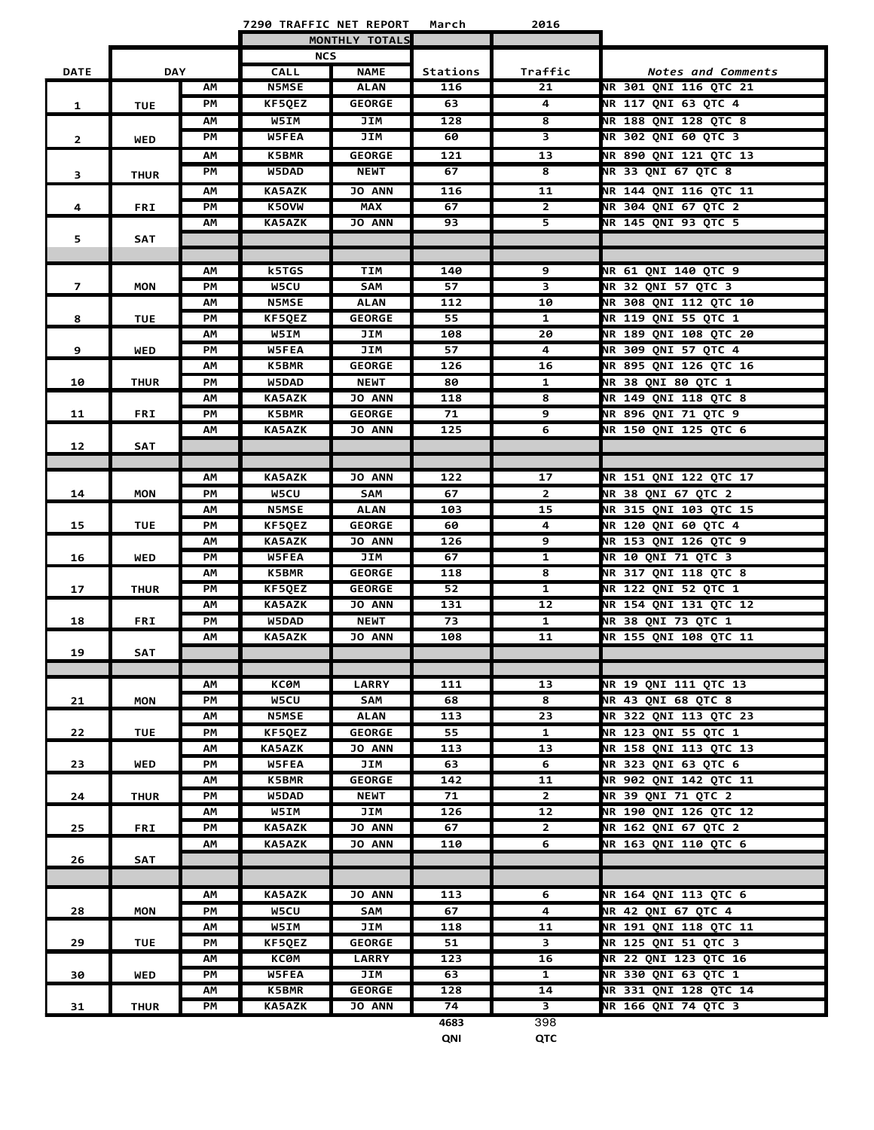**7290 TRAFFIC NET REPORT March 2016**

L

|                |             |    | MONTHLY TOTALS |               |          |                         |                              |
|----------------|-------------|----|----------------|---------------|----------|-------------------------|------------------------------|
|                |             |    | <b>NCS</b>     |               |          |                         |                              |
| <b>DATE</b>    | <b>DAY</b>  |    | <b>CALL</b>    | <b>NAME</b>   | Stations | Traffic                 | Notes and Comments           |
|                |             | AM | <b>N5MSE</b>   | <b>ALAN</b>   | 116      | 21                      | <b>NR 301 QNI 116 QTC 21</b> |
| 1              | <b>TUE</b>  | PM | KF5QEZ         | <b>GEORGE</b> | 63       | 4                       | NR 117 QNI 63 QTC 4          |
|                |             | АM | W5IM           | JIM           | 128      | 8                       | <b>NR 188 QNI 128 QTC 8</b>  |
| $\overline{2}$ | <b>WED</b>  | PM | W5FEA          | JIM           | 60       | 3                       | <b>NR 302 QNI 60 QTC 3</b>   |
|                |             | AM | <b>K5BMR</b>   | <b>GEORGE</b> | 121      | 13                      | NR 890 QNI 121 QTC 13        |
| 3              | <b>THUR</b> | PM | W5DAD          | <b>NEWT</b>   | 67       | 8                       | NR 33 QNI 67 QTC 8           |
|                |             | АM | <b>KA5AZK</b>  | <b>JO ANN</b> | 116      | 11                      | NR 144 QNI 116 QTC 11        |
| 4              | <b>FRI</b>  | PM | K50VW          | <b>MAX</b>    | 67       | $\mathbf{2}$            | <b>NR 304 QNI 67 QTC 2</b>   |
|                |             | АM | <b>KA5AZK</b>  | <b>JO ANN</b> | 93       | 5.                      | NR 145 QNI 93 QTC 5          |
| 5              | <b>SAT</b>  |    |                |               |          |                         |                              |
|                |             |    |                |               |          |                         |                              |
|                |             | ΑМ | k5TGS          | TIM           | 140      | 9                       | <b>NR 61 QNI 140 QTC 9</b>   |
| $\overline{7}$ | MON         | PM | W5CU           | SAM           | 57       | $\overline{\mathbf{3}}$ | NR 32 QNI 57 QTC 3           |
|                |             | ΑМ | <b>N5MSE</b>   | <b>ALAN</b>   | 112      | 10                      | <b>NR 308 QNI 112 QTC 10</b> |
| 8              | <b>TUE</b>  | PM | KF5QEZ         | <b>GEORGE</b> | 55       | $\mathbf{1}$            | NR 119 QNI 55 QTC 1          |
|                |             | АM | W5IM           | JIM           | 108      | 20                      | <b>NR 189 ONI 108 OTC 20</b> |
| 9              | <b>WED</b>  | PM | W5FEA          | JIM           | 57       | 4                       | NR 309 QNI 57 QTC 4          |
|                |             | ΑМ | <b>K5BMR</b>   | <b>GEORGE</b> | 126      | 16                      | NR 895 QNI 126 QTC 16        |
| 10             | <b>THUR</b> | PM | W5DAD          | <b>NEWT</b>   | 80       | 1                       | <b>NR 38 QNI 80 QTC 1</b>    |
|                |             | AM | <b>KA5AZK</b>  | <b>JO ANN</b> | 118      | 8                       | <b>NR 149 QNI 118 QTC 8</b>  |
| 11             | <b>FRI</b>  | PM | <b>K5BMR</b>   | <b>GEORGE</b> | 71       | 9                       | <b>NR 896 QNI 71 QTC 9</b>   |
|                |             | АM | <b>KA5AZK</b>  | <b>JO ANN</b> | 125      | 6                       | NR 150 QNI 125 QTC 6         |
| 12             | <b>SAT</b>  |    |                |               |          |                         |                              |
|                |             |    |                |               |          |                         |                              |
|                |             | ΑМ | <b>KA5AZK</b>  | <b>JO ANN</b> | 122      | 17                      | NR 151 QNI 122 QTC 17        |
| 14             | <b>MON</b>  | PM | <b>W5CU</b>    | SAM           | 67       | $\mathbf{2}$            | NR 38 QNI 67 QTC 2           |
|                |             | ΑМ | <b>N5MSE</b>   | <b>ALAN</b>   | 103      | 15                      | NR 315 QNI 103 QTC 15        |
| 15             | <b>TUE</b>  | PM | <b>KF5QEZ</b>  | <b>GEORGE</b> | 60       | 4                       | <b>NR 120 QNI 60 QTC 4</b>   |
|                |             | ΑМ | <b>KA5AZK</b>  | <b>JO ANN</b> | 126      | 9                       | NR 153 QNI 126 QTC 9         |
| 16             | <b>WED</b>  | PM | W5FEA          | JIM           | 67       | $\mathbf{1}$            | <b>NR 10 QNI 71 QTC 3</b>    |
|                |             | AM | <b>K5BMR</b>   | <b>GEORGE</b> | 118      | 8                       | NR 317 QNI 118 QTC 8         |
| 17             | <b>THUR</b> | PM | <b>KF5QEZ</b>  | <b>GEORGE</b> | 52       | 1                       | <b>NR 122 QNI 52 QTC 1</b>   |
|                |             | ΑМ | <b>KA5AZK</b>  | <b>JO ANN</b> | 131      | 12                      | NR 154 QNI 131 QTC 12        |
| 18             | <b>FRI</b>  | PM | W5DAD          | <b>NEWT</b>   | 73       | $\mathbf{1}$            | <b>NR 38 QNI 73 QTC 1</b>    |
|                |             | АM | <b>KA5AZK</b>  | <b>JO ANN</b> | 108      | 11                      | NR 155 QNI 108 QTC 11        |
| 19             | <b>SAT</b>  |    |                |               |          |                         |                              |
|                |             | AM | <b>KC0M</b>    | <b>LARRY</b>  | 111      | 13                      | NR 19 QNI 111 QTC 13         |
| 21             | <b>MON</b>  | PM | W5CU           | SAM           | 68       | 8                       | NR 43 QNI 68 QTC 8           |
|                |             | ΑМ | <b>N5MSE</b>   | <b>ALAN</b>   | 113      | 23                      | NR 322 QNI 113 QTC 23        |
| 22             | <b>TUE</b>  | PM | KF50EZ         | <b>GEORGE</b> | 55       | $\mathbf{1}$            | NR 123 QNI 55 QTC 1          |
|                |             | AM | <b>KA5AZK</b>  | <b>JO ANN</b> | 113      | 13                      | NR 158 QNI 113 QTC 13        |
| 23             | <b>WED</b>  | PМ | <b>W5FEA</b>   | JIM           | 63       | 6                       | <b>NR 323 QNI 63 QTC 6</b>   |
|                |             | AM | <b>K5BMR</b>   | <b>GEORGE</b> | 142      | 11                      | NR 902 QNI 142 QTC 11        |
| 24             | THUR        | PM | W5DAD          | <b>NEWT</b>   | 71       | $\mathbf{2}$            | <b>NR 39 QNI 71 QTC 2</b>    |
|                |             | ΑМ | W5IM           | JIM           | 126      | 12                      | NR 190 QNI 126 QTC 12        |
| 25             | <b>FRI</b>  | PM | <b>KA5AZK</b>  | <b>JO ANN</b> | 67       | $\mathbf{2}$            | NR 162 QNI 67 QTC 2          |
|                |             | ΑМ | <b>KA5AZK</b>  | <b>JO ANN</b> | 110      | 6                       | NR 163 ONI 110 OTC 6         |
| 26             | SAT         |    |                |               |          |                         |                              |
|                |             |    |                |               |          |                         |                              |
|                |             | ΑМ | <b>KA5AZK</b>  | <b>JO ANN</b> | 113      | 6                       | NR 164 QNI 113 QTC 6         |
| 28             | <b>MON</b>  | PM | <b>W5CU</b>    | SAM           | 67       | 4                       | <b>NR 42 QNI 67 QTC 4</b>    |
|                |             | ΑМ | W5IM           | JIM           | 118      | 11                      | NR 191 QNI 118 QTC 11        |
| 29             | <b>TUE</b>  | PM | <b>KF5QEZ</b>  | <b>GEORGE</b> | 51       | 3                       | NR 125 QNI 51 QTC 3          |
|                |             | АM | <b>KC0M</b>    | <b>LARRY</b>  | 123      | 16                      | <b>NR 22 QNI 123 QTC 16</b>  |
| 30             | WED         | PМ | <b>W5FEA</b>   | JIM           | 63       | $\mathbf{1}$            | NR 330 QNI 63 QTC 1          |
|                |             | ΑМ | <b>K5BMR</b>   | <b>GEORGE</b> | 128      | 14                      | NR 331 QNI 128 QTC 14        |
| 31             | THUR        | PМ | <b>KA5AZK</b>  | <b>JO ANN</b> | 74       | 3                       | NR 166 QNI 74 QTC 3          |
|                |             |    |                |               | 4683     | 398                     |                              |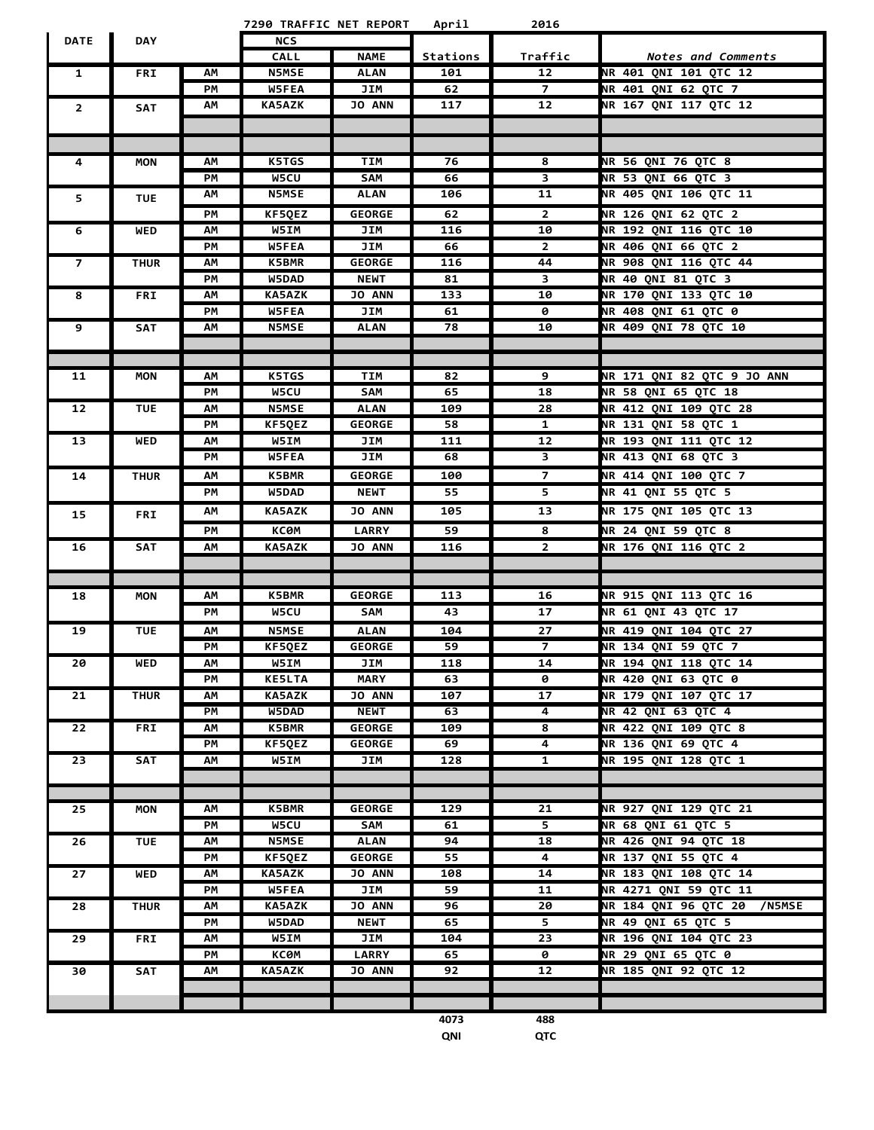|                |             |    | 7290 TRAFFIC NET REPORT |               | April    | 2016            |                                   |
|----------------|-------------|----|-------------------------|---------------|----------|-----------------|-----------------------------------|
| <b>DATE</b>    | <b>DAY</b>  |    | <b>NCS</b>              |               |          |                 |                                   |
|                |             |    | <b>CALL</b>             | <b>NAME</b>   | Stations | Traffic         | Notes and Comments                |
| $\mathbf{1}$   | <b>FRI</b>  | АΜ | <b>N5MSE</b>            | <b>ALAN</b>   | 101      | 12              | NR 401 QNI 101 QTC 12             |
|                |             | PM | W5FEA                   | <b>JIM</b>    | 62       | $\overline{7}$  | NR 401 QNI 62 QTC 7               |
| $\overline{2}$ | <b>SAT</b>  | AM | <b>KA5AZK</b>           | <b>JO ANN</b> | 117      | 12              | NR 167 QNI 117 QTC 12             |
|                |             |    |                         |               |          |                 |                                   |
|                |             |    |                         |               |          |                 |                                   |
| 4              | <b>MON</b>  | АM | <b>K5TGS</b>            | <b>TIM</b>    | 76       | 8               | <b>NR 56 QNI 76 QTC 8</b>         |
|                |             | PM | <b>W5CU</b>             | SAM           | 66       | 3               | NR 53 QNI 66 QTC 3                |
|                |             | AM | <b>N5MSE</b>            | ALAN          | 106      | 11              | NR 405 QNI 106 QTC 11             |
| 5              | <b>TUE</b>  |    |                         |               |          |                 |                                   |
|                |             | PM | KF5QEZ                  | <b>GEORGE</b> | 62       | $\mathbf{2}$    | NR 126 QNI 62 QTC 2               |
| 6              | <b>WED</b>  | AM | W5IM                    | JIM           | 116      | 10              | <b>NR 192 QNI 116 QTC 10</b>      |
|                |             | PM | W5FEA                   | JIM           | 66       | $\mathbf{2}$    | NR 406 QNI 66 QTC 2               |
| $\overline{7}$ | <b>THUR</b> | АΜ | <b>K5BMR</b>            | GEORGE        | 116      | 44              | NR 908 QNI 116 QTC 44             |
|                |             | PМ | W5DAD                   | <b>NEWT</b>   | 81       | 3               | NR 40 QNI 81 QTC 3                |
| 8              | <b>FRI</b>  | АΜ | <b>KA5AZK</b>           | JO ANN        | 133      | 10              | NR 170 QNI 133 QTC 10             |
|                |             | PM | W5FEA                   | JIM           | 61       | 0               | NR 408 QNI 61 QTC 0               |
| 9              | <b>SAT</b>  | АΜ | <b>N5MSE</b>            | <b>ALAN</b>   | 78       | 10              | <b>NR 409 QNI 78 QTC 10</b>       |
|                |             |    |                         |               |          |                 |                                   |
|                |             |    |                         |               |          |                 |                                   |
| 11             | <b>MON</b>  | АΜ | K5TGS                   | <b>TIM</b>    | 82       | 9               | <b>NR 171 QNI 82 QTC 9 JO ANN</b> |
|                |             | PM | W5CU                    | SAM           | 65       | 18              | NR 58 QNI 65 QTC 18               |
| 12             | TUE         | АΜ | <b>N5MSE</b>            | ALAN          | 109      | 28              | NR 412 QNI 109 QTC 28             |
|                |             | PМ | KF5QEZ                  | GEORGE        | 58       | 1               | NR 131 QNI 58 QTC 1               |
| 13             | WED         | АΜ | W5IM                    | JIM           | 111      | 12              | NR 193 QNI 111 QTC 12             |
|                |             | PM | W5FEA                   | JIM           | 68       | 3               | NR 413 QNI 68 QTC 3               |
| 14             | <b>THUR</b> | АΜ | <b>K5BMR</b>            | <b>GEORGE</b> | 100      | $\overline{7}$  | <b>NR 414 QNI 100 QTC 7</b>       |
|                |             | PM | W5DAD                   | <b>NEWT</b>   | 55       | 5.              | <b>NR 41 QNI 55 QTC 5</b>         |
| 15             | <b>FRI</b>  | АΜ | <b>KA5AZK</b>           | <b>JO ANN</b> | 105      | 13              | NR 175 QNI 105 QTC 13             |
|                |             | PM | <b>KC0M</b>             | <b>LARRY</b>  | 59       | 8               | NR 24 QNI 59 QTC 8                |
| 16             | <b>SAT</b>  | АΜ | <b>KA5AZK</b>           | <b>JO ANN</b> | 116      | $\mathbf{2}$    | NR 176 QNI 116 QTC 2              |
|                |             |    |                         |               |          |                 |                                   |
|                |             |    |                         |               |          |                 |                                   |
| 18             | <b>MON</b>  | AM | <b>K5BMR</b>            | <b>GEORGE</b> | 113      | 16              | NR 915 QNI 113 QTC 16             |
|                |             | PM | W5CU                    | SAM           | 43       | 17              | NR 61 QNI 43 QTC 17               |
| 19             | <b>TUE</b>  | ΑМ | <b>N5MSE</b>            | ALAN          | 104      | 27              | NR 419 QNI 104 QTC 27             |
|                |             | PМ | KF5QEZ                  | <b>GEORGE</b> | 59       | $\overline{7}$  | NR 134 QNI 59 QTC 7               |
| 20             | WED         | АΜ | <b>W5IM</b>             | JIM           | 118      | 14              | NR 194 QNI 118 QTC 14             |
|                |             | PM | <b>KE5LTA</b>           | <b>MARY</b>   | 63       | ø               | <b>NR 420 QNI 63 QTC 0</b>        |
| 21             | <b>THUR</b> | AM | <b>KA5AZK</b>           | <b>JO ANN</b> | 107      | $\overline{17}$ | NR 179 QNI 107 QTC 17             |
|                |             | PM | W5DAD                   | <b>NEWT</b>   | 63       | $\overline{4}$  | <b>NR 42 QNI 63 QTC 4</b>         |
| 22             | <b>FRI</b>  | АΜ | <b>K5BMR</b>            | <b>GEORGE</b> | 109      | 8               | <b>NR 422 QNI 109 QTC 8</b>       |
|                |             | PM | KF5QEZ                  | <b>GEORGE</b> | 69       | 4               | <b>NR 136 QNI 69 QTC 4</b>        |
| 23             | SAT         | AM | W5IM                    | JIM           | 128      | $\mathbf{1}$    | NR 195 QNI 128 QTC 1              |
|                |             |    |                         |               |          |                 |                                   |
|                |             |    |                         |               |          |                 |                                   |
| 25             | <b>MON</b>  | АΜ | <b>K5BMR</b>            | <b>GEORGE</b> | 129      | 21              | NR 927 QNI 129 QTC 21             |
|                |             | PM | W5CU                    | SAM           | 61       | $\overline{5}$  | NR 68 QNI 61 QTC 5                |
| 26             | <b>TUE</b>  | АM | <b>N5MSE</b>            | <b>ALAN</b>   | 94       | 18              | NR 426 QNI 94 QTC 18              |
|                |             | PM | KF5QEZ                  | <b>GEORGE</b> | 55       | 4               | NR 137 QNI 55 QTC 4               |
| 27             | <b>WED</b>  | АΜ | <b>KA5AZK</b>           | <b>JO ANN</b> | 108      | 14              | NR 183 QNI 108 QTC 14             |
|                |             | PM | W5FEA                   | JIM           | 59       | 11              | NR 4271 QNI 59 QTC 11             |
| 28             | <b>THUR</b> | AM | <b>KA5AZK</b>           | <b>JO ANN</b> | 96       | 20              | NR 184 QNI 96 QTC 20 /N5MSE       |
|                |             | PM | <b>W5DAD</b>            | <b>NEWT</b>   | 65       | 5.              | NR 49 QNI 65 QTC 5                |
| 29             | FRI         | АΜ | <b>W5IM</b>             | JIM           | 104      | 23              | NR 196 QNI 104 QTC 23             |
|                |             | PM | <b>KC0M</b>             | <b>LARRY</b>  | 65       | ø               | NR 29 QNI 65 QTC 0                |
| 30             | SAT         | АΜ | <b>KA5AZK</b>           | JO ANN        | 92       | 12              | NR 185 QNI 92 QTC 12              |
|                |             |    |                         |               |          |                 |                                   |
|                |             |    |                         |               |          |                 |                                   |
|                |             |    |                         |               | 4073     | 488             |                                   |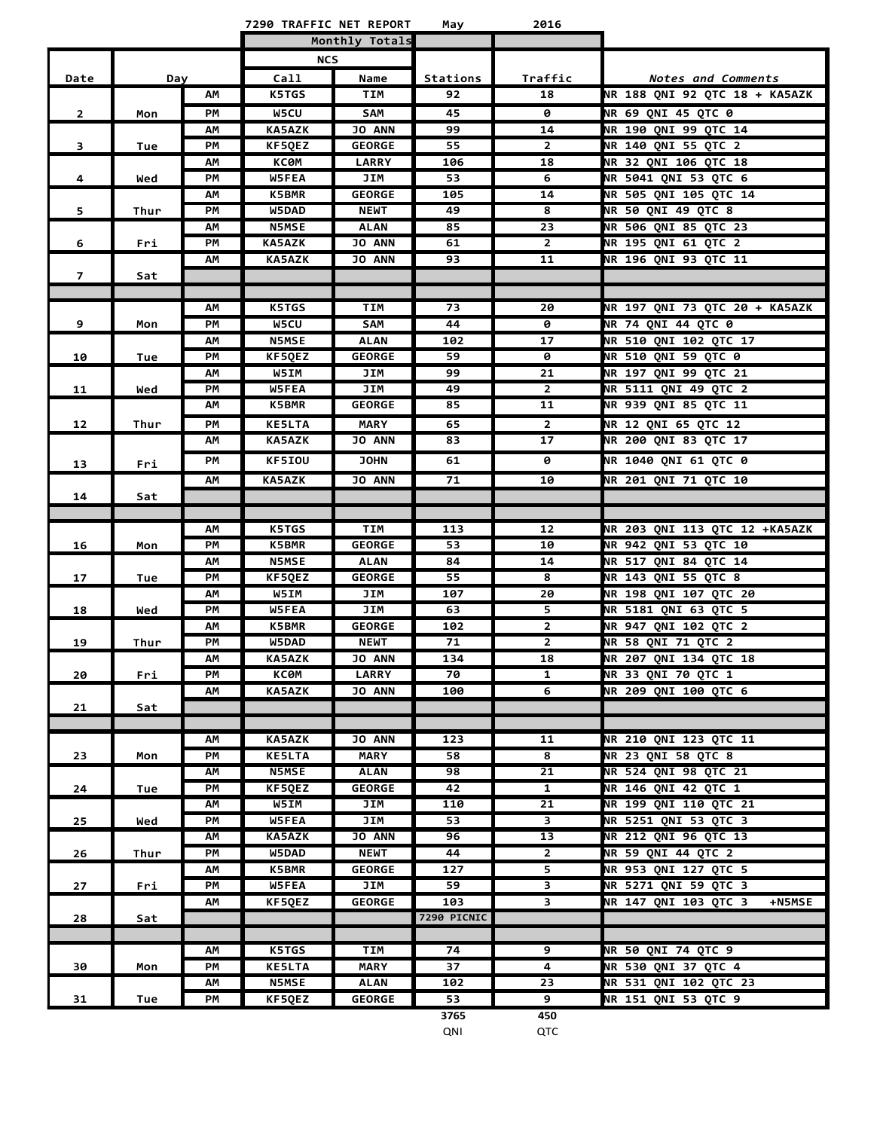| Monthly Totals<br><b>NCS</b><br>Call<br>Traffic<br>Date<br>Name<br>Stations<br>Notes and Comments<br>Day<br><b>K5TGS</b><br>TIM<br>92<br>18<br>NR 188 QNI 92 QTC 18 + KA5AZK<br>ΑМ<br><b>NR 69 QNI 45 QTC 0</b><br>PМ<br><b>W5CU</b><br>SAM<br>45<br>$\mathbf{2}$<br>0<br>Mon<br><b>NR 190 QNI 99 QTC 14</b><br><b>KA5AZK</b><br><b>JO ANN</b><br>99<br>14<br>ΑМ<br>NR 140 QNI 55 QTC 2<br>3<br><b>GEORGE</b><br>55<br>$\mathbf{2}$<br>PМ<br>KF5QEZ<br>Tue<br>NR 32 QNI 106 QTC 18<br>КСӨМ<br><b>LARRY</b><br>106<br>18<br>АΜ<br>W5FEA<br>53<br>NR 5041 QNI 53 QTC 6<br>PМ<br>JIM<br>6<br>4<br>Wed<br>NR 505 QNI 105 QTC 14<br><b>K5BMR</b><br><b>GEORGE</b><br>105<br>14<br>ΑМ<br><b>NR 50 QNI 49 QTC 8</b><br>PM<br>49<br>5<br>W5DAD<br><b>NEWT</b><br>8<br>Thur<br><b>N5MSE</b><br><b>ALAN</b><br>85<br>23<br>NR 506 QNI 85 QTC 23<br>ΑМ<br><b>JO ANN</b><br>NR 195 QNI 61 QTC 2<br>6<br>PМ<br><b>KA5AZK</b><br>61<br>2<br>Fri<br><b>JO ANN</b><br>NR 196 QNI 93 QTC 11<br><b>KA5AZK</b><br>93<br>11<br>АΜ<br>$\overline{7}$<br>Sat<br><b>K5TGS</b><br>TIM<br>73<br>NR 197 QNI 73 QTC 20 + KA5AZK<br>АΜ<br>20<br><b>NR 74 QNI 44 QTC 0</b><br><b>W5CU</b><br>SAM<br>9<br>PМ<br>44<br>0<br>Mon<br>NR 510 ONI 102 OTC 17<br><b>N5MSE</b><br><b>ALAN</b><br>102<br>17<br>ΑМ<br>PM<br><b>GEORGE</b><br>59<br><b>NR 510 QNI 59 QTC 0</b><br>KF5QEZ<br>0<br>10<br>Tue<br>ΑМ<br><b>W5IM</b><br>JIM<br>99<br>21<br>NR 197 QNI 99 QTC 21<br><b>NR 5111 ONI 49 OTC 2</b><br>PМ<br><b>W5FEA</b><br>JIM<br>49<br>$\mathbf{2}$<br>11<br>Wed<br>NR 939 QNI 85 QTC 11<br><b>K5BMR</b><br><b>GEORGE</b><br>85<br>11<br>АΜ<br><b>MARY</b><br><b>NR 12 ONI 65 OTC 12</b><br>PМ<br><b>KE5LTA</b><br>65<br>$\overline{2}$<br>12<br>Thur<br>NR 200 QNI 83 QTC 17<br><b>KA5AZK</b><br><b>JO ANN</b><br>17<br>АΜ<br>83<br>KF5IOU<br><b>JOHN</b><br><b>NR 1040 QNI 61 QTC 0</b><br>PМ<br>61<br>0<br>13<br>Fri<br><b>NR 201 QNI 71 QTC 10</b><br><b>KA5AZK</b><br><b>JO ANN</b><br>71<br>10<br>АM<br>14<br>Sat<br><b>K5TGS</b><br>NR 203 QNI 113 QTC 12 +KA5AZK<br>АM<br>TIM<br>113<br>12<br>PM<br><b>K5BMR</b><br><b>GEORGE</b><br>53<br>NR 942 QNI 53 QTC 10<br>10<br>16<br>Mon<br>NR 517 QNI 84 QTC 14<br>ΑМ<br><b>N5MSE</b><br><b>ALAN</b><br>84<br>14<br>NR 143 QNI 55 QTC 8<br>PM<br><b>GEORGE</b><br>55<br>17<br><b>KF5QEZ</b><br>8<br>Tue<br><b>NR 198 QNI 107 QTC 20</b><br>W5IM<br>JIM<br>107<br>20<br>ΑМ<br>JIM<br>NR 5181 ONI 63 OTC 5<br>PМ<br><b>W5FEA</b><br>63<br>18<br>5.<br>Wed<br>$\mathbf{2}$<br><b>NR 947 QNI 102 QTC 2</b><br><b>K5BMR</b><br><b>GEORGE</b><br>102<br>ΑМ<br>NR 58 QNI 71 QTC 2<br>2<br>19<br>PМ<br>W5DAD<br><b>NEWT</b><br>71<br>Thur<br>134<br>NR 207 QNI 134 QTC 18<br>AM<br><b>KA5AZK</b><br>JO ANN<br>18<br>20<br>PМ<br>КСӨМ<br><b>LARRY</b><br>70<br>$\mathbf{1}$<br>NR 33 QNI 70 QTC 1<br>Fri<br>NR 209 QNI 100 QTC 6<br><b>KA5AZK</b><br>JO ANN<br>АΜ<br>100<br>6<br>21<br>Sat<br><b>JO ANN</b><br>NR 210 QNI 123 QTC 11<br><b>KA5AZK</b><br>123<br>11<br>АΜ<br><b>NR 23 QNI 58 QTC 8</b><br>8<br>23<br>PМ<br><b>KE5LTA</b><br>MARY<br>58<br>Mon<br>NR 524 QNI 98 QTC 21<br><b>N5MSE</b><br><b>ALAN</b><br>98<br>21<br>ΑМ<br>$\overline{1}$<br>NR 146 QNI 42 QTC 1<br><b>GEORGE</b><br>42<br>PМ<br>KF5QEZ<br>24<br>Tue<br>NR 199 QNI 110 QTC 21<br>W5IM<br>21<br>ΑМ<br>JIM<br>110<br>$\overline{\mathbf{3}}$<br>NR 5251 QNI 53 QTC 3<br>W5FEA<br>JIM<br>53<br>25<br>PМ<br>Wed<br><b>JO ANN</b><br>NR 212 QNI 96 QTC 13<br>АΜ<br><b>KA5AZK</b><br>96<br>13<br>NR 59 QNI 44 QTC 2<br>PM<br>W5DAD<br><b>NEWT</b><br>44<br>$\overline{2}$<br>26<br>Thur<br>NR 953 QNI 127 QTC 5<br>5<br>АΜ<br><b>K5BMR</b><br><b>GEORGE</b><br>127<br>NR 5271 QNI 59 QTC 3<br>PМ<br><b>W5FEA</b><br>JIM<br>59<br>3<br>27<br>Fri<br>3<br>NR 147 QNI 103 QTC 3<br>KF5QEZ<br><b>GEORGE</b><br>103<br><b>+N5MSE</b><br>AM<br>7290 PICNIC<br>28<br>Sat<br>9<br>NR 50 QNI 74 QTC 9<br><b>K5TGS</b><br>TIM<br>74<br>АΜ<br>NR 530 QNI 37 QTC 4<br><b>KE5LTA</b><br><b>MARY</b><br>PМ<br>37<br>4<br>30<br>Mon<br>NR 531 QNI 102 QTC 23<br>AM<br><b>N5MSE</b><br><b>ALAN</b><br>102<br>23<br>NR 151 QNI 53 QTC 9<br>31<br>PM<br>KF5QEZ<br><b>GEORGE</b><br>53<br>9<br>Tue |  |  | 7290 TRAFFIC NET REPORT | May  | 2016 |  |
|--------------------------------------------------------------------------------------------------------------------------------------------------------------------------------------------------------------------------------------------------------------------------------------------------------------------------------------------------------------------------------------------------------------------------------------------------------------------------------------------------------------------------------------------------------------------------------------------------------------------------------------------------------------------------------------------------------------------------------------------------------------------------------------------------------------------------------------------------------------------------------------------------------------------------------------------------------------------------------------------------------------------------------------------------------------------------------------------------------------------------------------------------------------------------------------------------------------------------------------------------------------------------------------------------------------------------------------------------------------------------------------------------------------------------------------------------------------------------------------------------------------------------------------------------------------------------------------------------------------------------------------------------------------------------------------------------------------------------------------------------------------------------------------------------------------------------------------------------------------------------------------------------------------------------------------------------------------------------------------------------------------------------------------------------------------------------------------------------------------------------------------------------------------------------------------------------------------------------------------------------------------------------------------------------------------------------------------------------------------------------------------------------------------------------------------------------------------------------------------------------------------------------------------------------------------------------------------------------------------------------------------------------------------------------------------------------------------------------------------------------------------------------------------------------------------------------------------------------------------------------------------------------------------------------------------------------------------------------------------------------------------------------------------------------------------------------------------------------------------------------------------------------------------------------------------------------------------------------------------------------------------------------------------------------------------------------------------------------------------------------------------------------------------------------------------------------------------------------------------------------------------------------------------------------------------------------------------------------------------------------------------------------------------------------------------------------------------------------------------------------------------------------------------------------------------------------------------------------------------------------------------------------------------------------------------------------------------------------------------------------------------------------------------------------------------------------------------------------------------------------------------------------------------------|--|--|-------------------------|------|------|--|
|                                                                                                                                                                                                                                                                                                                                                                                                                                                                                                                                                                                                                                                                                                                                                                                                                                                                                                                                                                                                                                                                                                                                                                                                                                                                                                                                                                                                                                                                                                                                                                                                                                                                                                                                                                                                                                                                                                                                                                                                                                                                                                                                                                                                                                                                                                                                                                                                                                                                                                                                                                                                                                                                                                                                                                                                                                                                                                                                                                                                                                                                                                                                                                                                                                                                                                                                                                                                                                                                                                                                                                                                                                                                                                                                                                                                                                                                                                                                                                                                                                                                                                                                                                    |  |  |                         |      |      |  |
|                                                                                                                                                                                                                                                                                                                                                                                                                                                                                                                                                                                                                                                                                                                                                                                                                                                                                                                                                                                                                                                                                                                                                                                                                                                                                                                                                                                                                                                                                                                                                                                                                                                                                                                                                                                                                                                                                                                                                                                                                                                                                                                                                                                                                                                                                                                                                                                                                                                                                                                                                                                                                                                                                                                                                                                                                                                                                                                                                                                                                                                                                                                                                                                                                                                                                                                                                                                                                                                                                                                                                                                                                                                                                                                                                                                                                                                                                                                                                                                                                                                                                                                                                                    |  |  |                         |      |      |  |
|                                                                                                                                                                                                                                                                                                                                                                                                                                                                                                                                                                                                                                                                                                                                                                                                                                                                                                                                                                                                                                                                                                                                                                                                                                                                                                                                                                                                                                                                                                                                                                                                                                                                                                                                                                                                                                                                                                                                                                                                                                                                                                                                                                                                                                                                                                                                                                                                                                                                                                                                                                                                                                                                                                                                                                                                                                                                                                                                                                                                                                                                                                                                                                                                                                                                                                                                                                                                                                                                                                                                                                                                                                                                                                                                                                                                                                                                                                                                                                                                                                                                                                                                                                    |  |  |                         |      |      |  |
|                                                                                                                                                                                                                                                                                                                                                                                                                                                                                                                                                                                                                                                                                                                                                                                                                                                                                                                                                                                                                                                                                                                                                                                                                                                                                                                                                                                                                                                                                                                                                                                                                                                                                                                                                                                                                                                                                                                                                                                                                                                                                                                                                                                                                                                                                                                                                                                                                                                                                                                                                                                                                                                                                                                                                                                                                                                                                                                                                                                                                                                                                                                                                                                                                                                                                                                                                                                                                                                                                                                                                                                                                                                                                                                                                                                                                                                                                                                                                                                                                                                                                                                                                                    |  |  |                         |      |      |  |
|                                                                                                                                                                                                                                                                                                                                                                                                                                                                                                                                                                                                                                                                                                                                                                                                                                                                                                                                                                                                                                                                                                                                                                                                                                                                                                                                                                                                                                                                                                                                                                                                                                                                                                                                                                                                                                                                                                                                                                                                                                                                                                                                                                                                                                                                                                                                                                                                                                                                                                                                                                                                                                                                                                                                                                                                                                                                                                                                                                                                                                                                                                                                                                                                                                                                                                                                                                                                                                                                                                                                                                                                                                                                                                                                                                                                                                                                                                                                                                                                                                                                                                                                                                    |  |  |                         |      |      |  |
|                                                                                                                                                                                                                                                                                                                                                                                                                                                                                                                                                                                                                                                                                                                                                                                                                                                                                                                                                                                                                                                                                                                                                                                                                                                                                                                                                                                                                                                                                                                                                                                                                                                                                                                                                                                                                                                                                                                                                                                                                                                                                                                                                                                                                                                                                                                                                                                                                                                                                                                                                                                                                                                                                                                                                                                                                                                                                                                                                                                                                                                                                                                                                                                                                                                                                                                                                                                                                                                                                                                                                                                                                                                                                                                                                                                                                                                                                                                                                                                                                                                                                                                                                                    |  |  |                         |      |      |  |
|                                                                                                                                                                                                                                                                                                                                                                                                                                                                                                                                                                                                                                                                                                                                                                                                                                                                                                                                                                                                                                                                                                                                                                                                                                                                                                                                                                                                                                                                                                                                                                                                                                                                                                                                                                                                                                                                                                                                                                                                                                                                                                                                                                                                                                                                                                                                                                                                                                                                                                                                                                                                                                                                                                                                                                                                                                                                                                                                                                                                                                                                                                                                                                                                                                                                                                                                                                                                                                                                                                                                                                                                                                                                                                                                                                                                                                                                                                                                                                                                                                                                                                                                                                    |  |  |                         |      |      |  |
|                                                                                                                                                                                                                                                                                                                                                                                                                                                                                                                                                                                                                                                                                                                                                                                                                                                                                                                                                                                                                                                                                                                                                                                                                                                                                                                                                                                                                                                                                                                                                                                                                                                                                                                                                                                                                                                                                                                                                                                                                                                                                                                                                                                                                                                                                                                                                                                                                                                                                                                                                                                                                                                                                                                                                                                                                                                                                                                                                                                                                                                                                                                                                                                                                                                                                                                                                                                                                                                                                                                                                                                                                                                                                                                                                                                                                                                                                                                                                                                                                                                                                                                                                                    |  |  |                         |      |      |  |
|                                                                                                                                                                                                                                                                                                                                                                                                                                                                                                                                                                                                                                                                                                                                                                                                                                                                                                                                                                                                                                                                                                                                                                                                                                                                                                                                                                                                                                                                                                                                                                                                                                                                                                                                                                                                                                                                                                                                                                                                                                                                                                                                                                                                                                                                                                                                                                                                                                                                                                                                                                                                                                                                                                                                                                                                                                                                                                                                                                                                                                                                                                                                                                                                                                                                                                                                                                                                                                                                                                                                                                                                                                                                                                                                                                                                                                                                                                                                                                                                                                                                                                                                                                    |  |  |                         |      |      |  |
|                                                                                                                                                                                                                                                                                                                                                                                                                                                                                                                                                                                                                                                                                                                                                                                                                                                                                                                                                                                                                                                                                                                                                                                                                                                                                                                                                                                                                                                                                                                                                                                                                                                                                                                                                                                                                                                                                                                                                                                                                                                                                                                                                                                                                                                                                                                                                                                                                                                                                                                                                                                                                                                                                                                                                                                                                                                                                                                                                                                                                                                                                                                                                                                                                                                                                                                                                                                                                                                                                                                                                                                                                                                                                                                                                                                                                                                                                                                                                                                                                                                                                                                                                                    |  |  |                         |      |      |  |
|                                                                                                                                                                                                                                                                                                                                                                                                                                                                                                                                                                                                                                                                                                                                                                                                                                                                                                                                                                                                                                                                                                                                                                                                                                                                                                                                                                                                                                                                                                                                                                                                                                                                                                                                                                                                                                                                                                                                                                                                                                                                                                                                                                                                                                                                                                                                                                                                                                                                                                                                                                                                                                                                                                                                                                                                                                                                                                                                                                                                                                                                                                                                                                                                                                                                                                                                                                                                                                                                                                                                                                                                                                                                                                                                                                                                                                                                                                                                                                                                                                                                                                                                                                    |  |  |                         |      |      |  |
|                                                                                                                                                                                                                                                                                                                                                                                                                                                                                                                                                                                                                                                                                                                                                                                                                                                                                                                                                                                                                                                                                                                                                                                                                                                                                                                                                                                                                                                                                                                                                                                                                                                                                                                                                                                                                                                                                                                                                                                                                                                                                                                                                                                                                                                                                                                                                                                                                                                                                                                                                                                                                                                                                                                                                                                                                                                                                                                                                                                                                                                                                                                                                                                                                                                                                                                                                                                                                                                                                                                                                                                                                                                                                                                                                                                                                                                                                                                                                                                                                                                                                                                                                                    |  |  |                         |      |      |  |
|                                                                                                                                                                                                                                                                                                                                                                                                                                                                                                                                                                                                                                                                                                                                                                                                                                                                                                                                                                                                                                                                                                                                                                                                                                                                                                                                                                                                                                                                                                                                                                                                                                                                                                                                                                                                                                                                                                                                                                                                                                                                                                                                                                                                                                                                                                                                                                                                                                                                                                                                                                                                                                                                                                                                                                                                                                                                                                                                                                                                                                                                                                                                                                                                                                                                                                                                                                                                                                                                                                                                                                                                                                                                                                                                                                                                                                                                                                                                                                                                                                                                                                                                                                    |  |  |                         |      |      |  |
|                                                                                                                                                                                                                                                                                                                                                                                                                                                                                                                                                                                                                                                                                                                                                                                                                                                                                                                                                                                                                                                                                                                                                                                                                                                                                                                                                                                                                                                                                                                                                                                                                                                                                                                                                                                                                                                                                                                                                                                                                                                                                                                                                                                                                                                                                                                                                                                                                                                                                                                                                                                                                                                                                                                                                                                                                                                                                                                                                                                                                                                                                                                                                                                                                                                                                                                                                                                                                                                                                                                                                                                                                                                                                                                                                                                                                                                                                                                                                                                                                                                                                                                                                                    |  |  |                         |      |      |  |
|                                                                                                                                                                                                                                                                                                                                                                                                                                                                                                                                                                                                                                                                                                                                                                                                                                                                                                                                                                                                                                                                                                                                                                                                                                                                                                                                                                                                                                                                                                                                                                                                                                                                                                                                                                                                                                                                                                                                                                                                                                                                                                                                                                                                                                                                                                                                                                                                                                                                                                                                                                                                                                                                                                                                                                                                                                                                                                                                                                                                                                                                                                                                                                                                                                                                                                                                                                                                                                                                                                                                                                                                                                                                                                                                                                                                                                                                                                                                                                                                                                                                                                                                                                    |  |  |                         |      |      |  |
|                                                                                                                                                                                                                                                                                                                                                                                                                                                                                                                                                                                                                                                                                                                                                                                                                                                                                                                                                                                                                                                                                                                                                                                                                                                                                                                                                                                                                                                                                                                                                                                                                                                                                                                                                                                                                                                                                                                                                                                                                                                                                                                                                                                                                                                                                                                                                                                                                                                                                                                                                                                                                                                                                                                                                                                                                                                                                                                                                                                                                                                                                                                                                                                                                                                                                                                                                                                                                                                                                                                                                                                                                                                                                                                                                                                                                                                                                                                                                                                                                                                                                                                                                                    |  |  |                         |      |      |  |
|                                                                                                                                                                                                                                                                                                                                                                                                                                                                                                                                                                                                                                                                                                                                                                                                                                                                                                                                                                                                                                                                                                                                                                                                                                                                                                                                                                                                                                                                                                                                                                                                                                                                                                                                                                                                                                                                                                                                                                                                                                                                                                                                                                                                                                                                                                                                                                                                                                                                                                                                                                                                                                                                                                                                                                                                                                                                                                                                                                                                                                                                                                                                                                                                                                                                                                                                                                                                                                                                                                                                                                                                                                                                                                                                                                                                                                                                                                                                                                                                                                                                                                                                                                    |  |  |                         |      |      |  |
|                                                                                                                                                                                                                                                                                                                                                                                                                                                                                                                                                                                                                                                                                                                                                                                                                                                                                                                                                                                                                                                                                                                                                                                                                                                                                                                                                                                                                                                                                                                                                                                                                                                                                                                                                                                                                                                                                                                                                                                                                                                                                                                                                                                                                                                                                                                                                                                                                                                                                                                                                                                                                                                                                                                                                                                                                                                                                                                                                                                                                                                                                                                                                                                                                                                                                                                                                                                                                                                                                                                                                                                                                                                                                                                                                                                                                                                                                                                                                                                                                                                                                                                                                                    |  |  |                         |      |      |  |
|                                                                                                                                                                                                                                                                                                                                                                                                                                                                                                                                                                                                                                                                                                                                                                                                                                                                                                                                                                                                                                                                                                                                                                                                                                                                                                                                                                                                                                                                                                                                                                                                                                                                                                                                                                                                                                                                                                                                                                                                                                                                                                                                                                                                                                                                                                                                                                                                                                                                                                                                                                                                                                                                                                                                                                                                                                                                                                                                                                                                                                                                                                                                                                                                                                                                                                                                                                                                                                                                                                                                                                                                                                                                                                                                                                                                                                                                                                                                                                                                                                                                                                                                                                    |  |  |                         |      |      |  |
|                                                                                                                                                                                                                                                                                                                                                                                                                                                                                                                                                                                                                                                                                                                                                                                                                                                                                                                                                                                                                                                                                                                                                                                                                                                                                                                                                                                                                                                                                                                                                                                                                                                                                                                                                                                                                                                                                                                                                                                                                                                                                                                                                                                                                                                                                                                                                                                                                                                                                                                                                                                                                                                                                                                                                                                                                                                                                                                                                                                                                                                                                                                                                                                                                                                                                                                                                                                                                                                                                                                                                                                                                                                                                                                                                                                                                                                                                                                                                                                                                                                                                                                                                                    |  |  |                         |      |      |  |
|                                                                                                                                                                                                                                                                                                                                                                                                                                                                                                                                                                                                                                                                                                                                                                                                                                                                                                                                                                                                                                                                                                                                                                                                                                                                                                                                                                                                                                                                                                                                                                                                                                                                                                                                                                                                                                                                                                                                                                                                                                                                                                                                                                                                                                                                                                                                                                                                                                                                                                                                                                                                                                                                                                                                                                                                                                                                                                                                                                                                                                                                                                                                                                                                                                                                                                                                                                                                                                                                                                                                                                                                                                                                                                                                                                                                                                                                                                                                                                                                                                                                                                                                                                    |  |  |                         |      |      |  |
|                                                                                                                                                                                                                                                                                                                                                                                                                                                                                                                                                                                                                                                                                                                                                                                                                                                                                                                                                                                                                                                                                                                                                                                                                                                                                                                                                                                                                                                                                                                                                                                                                                                                                                                                                                                                                                                                                                                                                                                                                                                                                                                                                                                                                                                                                                                                                                                                                                                                                                                                                                                                                                                                                                                                                                                                                                                                                                                                                                                                                                                                                                                                                                                                                                                                                                                                                                                                                                                                                                                                                                                                                                                                                                                                                                                                                                                                                                                                                                                                                                                                                                                                                                    |  |  |                         |      |      |  |
|                                                                                                                                                                                                                                                                                                                                                                                                                                                                                                                                                                                                                                                                                                                                                                                                                                                                                                                                                                                                                                                                                                                                                                                                                                                                                                                                                                                                                                                                                                                                                                                                                                                                                                                                                                                                                                                                                                                                                                                                                                                                                                                                                                                                                                                                                                                                                                                                                                                                                                                                                                                                                                                                                                                                                                                                                                                                                                                                                                                                                                                                                                                                                                                                                                                                                                                                                                                                                                                                                                                                                                                                                                                                                                                                                                                                                                                                                                                                                                                                                                                                                                                                                                    |  |  |                         |      |      |  |
|                                                                                                                                                                                                                                                                                                                                                                                                                                                                                                                                                                                                                                                                                                                                                                                                                                                                                                                                                                                                                                                                                                                                                                                                                                                                                                                                                                                                                                                                                                                                                                                                                                                                                                                                                                                                                                                                                                                                                                                                                                                                                                                                                                                                                                                                                                                                                                                                                                                                                                                                                                                                                                                                                                                                                                                                                                                                                                                                                                                                                                                                                                                                                                                                                                                                                                                                                                                                                                                                                                                                                                                                                                                                                                                                                                                                                                                                                                                                                                                                                                                                                                                                                                    |  |  |                         |      |      |  |
|                                                                                                                                                                                                                                                                                                                                                                                                                                                                                                                                                                                                                                                                                                                                                                                                                                                                                                                                                                                                                                                                                                                                                                                                                                                                                                                                                                                                                                                                                                                                                                                                                                                                                                                                                                                                                                                                                                                                                                                                                                                                                                                                                                                                                                                                                                                                                                                                                                                                                                                                                                                                                                                                                                                                                                                                                                                                                                                                                                                                                                                                                                                                                                                                                                                                                                                                                                                                                                                                                                                                                                                                                                                                                                                                                                                                                                                                                                                                                                                                                                                                                                                                                                    |  |  |                         |      |      |  |
|                                                                                                                                                                                                                                                                                                                                                                                                                                                                                                                                                                                                                                                                                                                                                                                                                                                                                                                                                                                                                                                                                                                                                                                                                                                                                                                                                                                                                                                                                                                                                                                                                                                                                                                                                                                                                                                                                                                                                                                                                                                                                                                                                                                                                                                                                                                                                                                                                                                                                                                                                                                                                                                                                                                                                                                                                                                                                                                                                                                                                                                                                                                                                                                                                                                                                                                                                                                                                                                                                                                                                                                                                                                                                                                                                                                                                                                                                                                                                                                                                                                                                                                                                                    |  |  |                         |      |      |  |
|                                                                                                                                                                                                                                                                                                                                                                                                                                                                                                                                                                                                                                                                                                                                                                                                                                                                                                                                                                                                                                                                                                                                                                                                                                                                                                                                                                                                                                                                                                                                                                                                                                                                                                                                                                                                                                                                                                                                                                                                                                                                                                                                                                                                                                                                                                                                                                                                                                                                                                                                                                                                                                                                                                                                                                                                                                                                                                                                                                                                                                                                                                                                                                                                                                                                                                                                                                                                                                                                                                                                                                                                                                                                                                                                                                                                                                                                                                                                                                                                                                                                                                                                                                    |  |  |                         |      |      |  |
|                                                                                                                                                                                                                                                                                                                                                                                                                                                                                                                                                                                                                                                                                                                                                                                                                                                                                                                                                                                                                                                                                                                                                                                                                                                                                                                                                                                                                                                                                                                                                                                                                                                                                                                                                                                                                                                                                                                                                                                                                                                                                                                                                                                                                                                                                                                                                                                                                                                                                                                                                                                                                                                                                                                                                                                                                                                                                                                                                                                                                                                                                                                                                                                                                                                                                                                                                                                                                                                                                                                                                                                                                                                                                                                                                                                                                                                                                                                                                                                                                                                                                                                                                                    |  |  |                         |      |      |  |
|                                                                                                                                                                                                                                                                                                                                                                                                                                                                                                                                                                                                                                                                                                                                                                                                                                                                                                                                                                                                                                                                                                                                                                                                                                                                                                                                                                                                                                                                                                                                                                                                                                                                                                                                                                                                                                                                                                                                                                                                                                                                                                                                                                                                                                                                                                                                                                                                                                                                                                                                                                                                                                                                                                                                                                                                                                                                                                                                                                                                                                                                                                                                                                                                                                                                                                                                                                                                                                                                                                                                                                                                                                                                                                                                                                                                                                                                                                                                                                                                                                                                                                                                                                    |  |  |                         |      |      |  |
|                                                                                                                                                                                                                                                                                                                                                                                                                                                                                                                                                                                                                                                                                                                                                                                                                                                                                                                                                                                                                                                                                                                                                                                                                                                                                                                                                                                                                                                                                                                                                                                                                                                                                                                                                                                                                                                                                                                                                                                                                                                                                                                                                                                                                                                                                                                                                                                                                                                                                                                                                                                                                                                                                                                                                                                                                                                                                                                                                                                                                                                                                                                                                                                                                                                                                                                                                                                                                                                                                                                                                                                                                                                                                                                                                                                                                                                                                                                                                                                                                                                                                                                                                                    |  |  |                         |      |      |  |
|                                                                                                                                                                                                                                                                                                                                                                                                                                                                                                                                                                                                                                                                                                                                                                                                                                                                                                                                                                                                                                                                                                                                                                                                                                                                                                                                                                                                                                                                                                                                                                                                                                                                                                                                                                                                                                                                                                                                                                                                                                                                                                                                                                                                                                                                                                                                                                                                                                                                                                                                                                                                                                                                                                                                                                                                                                                                                                                                                                                                                                                                                                                                                                                                                                                                                                                                                                                                                                                                                                                                                                                                                                                                                                                                                                                                                                                                                                                                                                                                                                                                                                                                                                    |  |  |                         |      |      |  |
|                                                                                                                                                                                                                                                                                                                                                                                                                                                                                                                                                                                                                                                                                                                                                                                                                                                                                                                                                                                                                                                                                                                                                                                                                                                                                                                                                                                                                                                                                                                                                                                                                                                                                                                                                                                                                                                                                                                                                                                                                                                                                                                                                                                                                                                                                                                                                                                                                                                                                                                                                                                                                                                                                                                                                                                                                                                                                                                                                                                                                                                                                                                                                                                                                                                                                                                                                                                                                                                                                                                                                                                                                                                                                                                                                                                                                                                                                                                                                                                                                                                                                                                                                                    |  |  |                         |      |      |  |
|                                                                                                                                                                                                                                                                                                                                                                                                                                                                                                                                                                                                                                                                                                                                                                                                                                                                                                                                                                                                                                                                                                                                                                                                                                                                                                                                                                                                                                                                                                                                                                                                                                                                                                                                                                                                                                                                                                                                                                                                                                                                                                                                                                                                                                                                                                                                                                                                                                                                                                                                                                                                                                                                                                                                                                                                                                                                                                                                                                                                                                                                                                                                                                                                                                                                                                                                                                                                                                                                                                                                                                                                                                                                                                                                                                                                                                                                                                                                                                                                                                                                                                                                                                    |  |  |                         |      |      |  |
|                                                                                                                                                                                                                                                                                                                                                                                                                                                                                                                                                                                                                                                                                                                                                                                                                                                                                                                                                                                                                                                                                                                                                                                                                                                                                                                                                                                                                                                                                                                                                                                                                                                                                                                                                                                                                                                                                                                                                                                                                                                                                                                                                                                                                                                                                                                                                                                                                                                                                                                                                                                                                                                                                                                                                                                                                                                                                                                                                                                                                                                                                                                                                                                                                                                                                                                                                                                                                                                                                                                                                                                                                                                                                                                                                                                                                                                                                                                                                                                                                                                                                                                                                                    |  |  |                         |      |      |  |
|                                                                                                                                                                                                                                                                                                                                                                                                                                                                                                                                                                                                                                                                                                                                                                                                                                                                                                                                                                                                                                                                                                                                                                                                                                                                                                                                                                                                                                                                                                                                                                                                                                                                                                                                                                                                                                                                                                                                                                                                                                                                                                                                                                                                                                                                                                                                                                                                                                                                                                                                                                                                                                                                                                                                                                                                                                                                                                                                                                                                                                                                                                                                                                                                                                                                                                                                                                                                                                                                                                                                                                                                                                                                                                                                                                                                                                                                                                                                                                                                                                                                                                                                                                    |  |  |                         |      |      |  |
|                                                                                                                                                                                                                                                                                                                                                                                                                                                                                                                                                                                                                                                                                                                                                                                                                                                                                                                                                                                                                                                                                                                                                                                                                                                                                                                                                                                                                                                                                                                                                                                                                                                                                                                                                                                                                                                                                                                                                                                                                                                                                                                                                                                                                                                                                                                                                                                                                                                                                                                                                                                                                                                                                                                                                                                                                                                                                                                                                                                                                                                                                                                                                                                                                                                                                                                                                                                                                                                                                                                                                                                                                                                                                                                                                                                                                                                                                                                                                                                                                                                                                                                                                                    |  |  |                         |      |      |  |
|                                                                                                                                                                                                                                                                                                                                                                                                                                                                                                                                                                                                                                                                                                                                                                                                                                                                                                                                                                                                                                                                                                                                                                                                                                                                                                                                                                                                                                                                                                                                                                                                                                                                                                                                                                                                                                                                                                                                                                                                                                                                                                                                                                                                                                                                                                                                                                                                                                                                                                                                                                                                                                                                                                                                                                                                                                                                                                                                                                                                                                                                                                                                                                                                                                                                                                                                                                                                                                                                                                                                                                                                                                                                                                                                                                                                                                                                                                                                                                                                                                                                                                                                                                    |  |  |                         |      |      |  |
|                                                                                                                                                                                                                                                                                                                                                                                                                                                                                                                                                                                                                                                                                                                                                                                                                                                                                                                                                                                                                                                                                                                                                                                                                                                                                                                                                                                                                                                                                                                                                                                                                                                                                                                                                                                                                                                                                                                                                                                                                                                                                                                                                                                                                                                                                                                                                                                                                                                                                                                                                                                                                                                                                                                                                                                                                                                                                                                                                                                                                                                                                                                                                                                                                                                                                                                                                                                                                                                                                                                                                                                                                                                                                                                                                                                                                                                                                                                                                                                                                                                                                                                                                                    |  |  |                         |      |      |  |
|                                                                                                                                                                                                                                                                                                                                                                                                                                                                                                                                                                                                                                                                                                                                                                                                                                                                                                                                                                                                                                                                                                                                                                                                                                                                                                                                                                                                                                                                                                                                                                                                                                                                                                                                                                                                                                                                                                                                                                                                                                                                                                                                                                                                                                                                                                                                                                                                                                                                                                                                                                                                                                                                                                                                                                                                                                                                                                                                                                                                                                                                                                                                                                                                                                                                                                                                                                                                                                                                                                                                                                                                                                                                                                                                                                                                                                                                                                                                                                                                                                                                                                                                                                    |  |  |                         |      |      |  |
|                                                                                                                                                                                                                                                                                                                                                                                                                                                                                                                                                                                                                                                                                                                                                                                                                                                                                                                                                                                                                                                                                                                                                                                                                                                                                                                                                                                                                                                                                                                                                                                                                                                                                                                                                                                                                                                                                                                                                                                                                                                                                                                                                                                                                                                                                                                                                                                                                                                                                                                                                                                                                                                                                                                                                                                                                                                                                                                                                                                                                                                                                                                                                                                                                                                                                                                                                                                                                                                                                                                                                                                                                                                                                                                                                                                                                                                                                                                                                                                                                                                                                                                                                                    |  |  |                         |      |      |  |
|                                                                                                                                                                                                                                                                                                                                                                                                                                                                                                                                                                                                                                                                                                                                                                                                                                                                                                                                                                                                                                                                                                                                                                                                                                                                                                                                                                                                                                                                                                                                                                                                                                                                                                                                                                                                                                                                                                                                                                                                                                                                                                                                                                                                                                                                                                                                                                                                                                                                                                                                                                                                                                                                                                                                                                                                                                                                                                                                                                                                                                                                                                                                                                                                                                                                                                                                                                                                                                                                                                                                                                                                                                                                                                                                                                                                                                                                                                                                                                                                                                                                                                                                                                    |  |  |                         |      |      |  |
|                                                                                                                                                                                                                                                                                                                                                                                                                                                                                                                                                                                                                                                                                                                                                                                                                                                                                                                                                                                                                                                                                                                                                                                                                                                                                                                                                                                                                                                                                                                                                                                                                                                                                                                                                                                                                                                                                                                                                                                                                                                                                                                                                                                                                                                                                                                                                                                                                                                                                                                                                                                                                                                                                                                                                                                                                                                                                                                                                                                                                                                                                                                                                                                                                                                                                                                                                                                                                                                                                                                                                                                                                                                                                                                                                                                                                                                                                                                                                                                                                                                                                                                                                                    |  |  |                         |      |      |  |
|                                                                                                                                                                                                                                                                                                                                                                                                                                                                                                                                                                                                                                                                                                                                                                                                                                                                                                                                                                                                                                                                                                                                                                                                                                                                                                                                                                                                                                                                                                                                                                                                                                                                                                                                                                                                                                                                                                                                                                                                                                                                                                                                                                                                                                                                                                                                                                                                                                                                                                                                                                                                                                                                                                                                                                                                                                                                                                                                                                                                                                                                                                                                                                                                                                                                                                                                                                                                                                                                                                                                                                                                                                                                                                                                                                                                                                                                                                                                                                                                                                                                                                                                                                    |  |  |                         |      |      |  |
|                                                                                                                                                                                                                                                                                                                                                                                                                                                                                                                                                                                                                                                                                                                                                                                                                                                                                                                                                                                                                                                                                                                                                                                                                                                                                                                                                                                                                                                                                                                                                                                                                                                                                                                                                                                                                                                                                                                                                                                                                                                                                                                                                                                                                                                                                                                                                                                                                                                                                                                                                                                                                                                                                                                                                                                                                                                                                                                                                                                                                                                                                                                                                                                                                                                                                                                                                                                                                                                                                                                                                                                                                                                                                                                                                                                                                                                                                                                                                                                                                                                                                                                                                                    |  |  |                         |      |      |  |
|                                                                                                                                                                                                                                                                                                                                                                                                                                                                                                                                                                                                                                                                                                                                                                                                                                                                                                                                                                                                                                                                                                                                                                                                                                                                                                                                                                                                                                                                                                                                                                                                                                                                                                                                                                                                                                                                                                                                                                                                                                                                                                                                                                                                                                                                                                                                                                                                                                                                                                                                                                                                                                                                                                                                                                                                                                                                                                                                                                                                                                                                                                                                                                                                                                                                                                                                                                                                                                                                                                                                                                                                                                                                                                                                                                                                                                                                                                                                                                                                                                                                                                                                                                    |  |  |                         |      |      |  |
|                                                                                                                                                                                                                                                                                                                                                                                                                                                                                                                                                                                                                                                                                                                                                                                                                                                                                                                                                                                                                                                                                                                                                                                                                                                                                                                                                                                                                                                                                                                                                                                                                                                                                                                                                                                                                                                                                                                                                                                                                                                                                                                                                                                                                                                                                                                                                                                                                                                                                                                                                                                                                                                                                                                                                                                                                                                                                                                                                                                                                                                                                                                                                                                                                                                                                                                                                                                                                                                                                                                                                                                                                                                                                                                                                                                                                                                                                                                                                                                                                                                                                                                                                                    |  |  |                         |      |      |  |
|                                                                                                                                                                                                                                                                                                                                                                                                                                                                                                                                                                                                                                                                                                                                                                                                                                                                                                                                                                                                                                                                                                                                                                                                                                                                                                                                                                                                                                                                                                                                                                                                                                                                                                                                                                                                                                                                                                                                                                                                                                                                                                                                                                                                                                                                                                                                                                                                                                                                                                                                                                                                                                                                                                                                                                                                                                                                                                                                                                                                                                                                                                                                                                                                                                                                                                                                                                                                                                                                                                                                                                                                                                                                                                                                                                                                                                                                                                                                                                                                                                                                                                                                                                    |  |  |                         |      |      |  |
|                                                                                                                                                                                                                                                                                                                                                                                                                                                                                                                                                                                                                                                                                                                                                                                                                                                                                                                                                                                                                                                                                                                                                                                                                                                                                                                                                                                                                                                                                                                                                                                                                                                                                                                                                                                                                                                                                                                                                                                                                                                                                                                                                                                                                                                                                                                                                                                                                                                                                                                                                                                                                                                                                                                                                                                                                                                                                                                                                                                                                                                                                                                                                                                                                                                                                                                                                                                                                                                                                                                                                                                                                                                                                                                                                                                                                                                                                                                                                                                                                                                                                                                                                                    |  |  |                         |      |      |  |
|                                                                                                                                                                                                                                                                                                                                                                                                                                                                                                                                                                                                                                                                                                                                                                                                                                                                                                                                                                                                                                                                                                                                                                                                                                                                                                                                                                                                                                                                                                                                                                                                                                                                                                                                                                                                                                                                                                                                                                                                                                                                                                                                                                                                                                                                                                                                                                                                                                                                                                                                                                                                                                                                                                                                                                                                                                                                                                                                                                                                                                                                                                                                                                                                                                                                                                                                                                                                                                                                                                                                                                                                                                                                                                                                                                                                                                                                                                                                                                                                                                                                                                                                                                    |  |  |                         |      |      |  |
|                                                                                                                                                                                                                                                                                                                                                                                                                                                                                                                                                                                                                                                                                                                                                                                                                                                                                                                                                                                                                                                                                                                                                                                                                                                                                                                                                                                                                                                                                                                                                                                                                                                                                                                                                                                                                                                                                                                                                                                                                                                                                                                                                                                                                                                                                                                                                                                                                                                                                                                                                                                                                                                                                                                                                                                                                                                                                                                                                                                                                                                                                                                                                                                                                                                                                                                                                                                                                                                                                                                                                                                                                                                                                                                                                                                                                                                                                                                                                                                                                                                                                                                                                                    |  |  |                         |      |      |  |
|                                                                                                                                                                                                                                                                                                                                                                                                                                                                                                                                                                                                                                                                                                                                                                                                                                                                                                                                                                                                                                                                                                                                                                                                                                                                                                                                                                                                                                                                                                                                                                                                                                                                                                                                                                                                                                                                                                                                                                                                                                                                                                                                                                                                                                                                                                                                                                                                                                                                                                                                                                                                                                                                                                                                                                                                                                                                                                                                                                                                                                                                                                                                                                                                                                                                                                                                                                                                                                                                                                                                                                                                                                                                                                                                                                                                                                                                                                                                                                                                                                                                                                                                                                    |  |  |                         |      |      |  |
|                                                                                                                                                                                                                                                                                                                                                                                                                                                                                                                                                                                                                                                                                                                                                                                                                                                                                                                                                                                                                                                                                                                                                                                                                                                                                                                                                                                                                                                                                                                                                                                                                                                                                                                                                                                                                                                                                                                                                                                                                                                                                                                                                                                                                                                                                                                                                                                                                                                                                                                                                                                                                                                                                                                                                                                                                                                                                                                                                                                                                                                                                                                                                                                                                                                                                                                                                                                                                                                                                                                                                                                                                                                                                                                                                                                                                                                                                                                                                                                                                                                                                                                                                                    |  |  |                         |      |      |  |
|                                                                                                                                                                                                                                                                                                                                                                                                                                                                                                                                                                                                                                                                                                                                                                                                                                                                                                                                                                                                                                                                                                                                                                                                                                                                                                                                                                                                                                                                                                                                                                                                                                                                                                                                                                                                                                                                                                                                                                                                                                                                                                                                                                                                                                                                                                                                                                                                                                                                                                                                                                                                                                                                                                                                                                                                                                                                                                                                                                                                                                                                                                                                                                                                                                                                                                                                                                                                                                                                                                                                                                                                                                                                                                                                                                                                                                                                                                                                                                                                                                                                                                                                                                    |  |  |                         |      |      |  |
|                                                                                                                                                                                                                                                                                                                                                                                                                                                                                                                                                                                                                                                                                                                                                                                                                                                                                                                                                                                                                                                                                                                                                                                                                                                                                                                                                                                                                                                                                                                                                                                                                                                                                                                                                                                                                                                                                                                                                                                                                                                                                                                                                                                                                                                                                                                                                                                                                                                                                                                                                                                                                                                                                                                                                                                                                                                                                                                                                                                                                                                                                                                                                                                                                                                                                                                                                                                                                                                                                                                                                                                                                                                                                                                                                                                                                                                                                                                                                                                                                                                                                                                                                                    |  |  |                         |      |      |  |
|                                                                                                                                                                                                                                                                                                                                                                                                                                                                                                                                                                                                                                                                                                                                                                                                                                                                                                                                                                                                                                                                                                                                                                                                                                                                                                                                                                                                                                                                                                                                                                                                                                                                                                                                                                                                                                                                                                                                                                                                                                                                                                                                                                                                                                                                                                                                                                                                                                                                                                                                                                                                                                                                                                                                                                                                                                                                                                                                                                                                                                                                                                                                                                                                                                                                                                                                                                                                                                                                                                                                                                                                                                                                                                                                                                                                                                                                                                                                                                                                                                                                                                                                                                    |  |  |                         |      |      |  |
|                                                                                                                                                                                                                                                                                                                                                                                                                                                                                                                                                                                                                                                                                                                                                                                                                                                                                                                                                                                                                                                                                                                                                                                                                                                                                                                                                                                                                                                                                                                                                                                                                                                                                                                                                                                                                                                                                                                                                                                                                                                                                                                                                                                                                                                                                                                                                                                                                                                                                                                                                                                                                                                                                                                                                                                                                                                                                                                                                                                                                                                                                                                                                                                                                                                                                                                                                                                                                                                                                                                                                                                                                                                                                                                                                                                                                                                                                                                                                                                                                                                                                                                                                                    |  |  |                         |      |      |  |
|                                                                                                                                                                                                                                                                                                                                                                                                                                                                                                                                                                                                                                                                                                                                                                                                                                                                                                                                                                                                                                                                                                                                                                                                                                                                                                                                                                                                                                                                                                                                                                                                                                                                                                                                                                                                                                                                                                                                                                                                                                                                                                                                                                                                                                                                                                                                                                                                                                                                                                                                                                                                                                                                                                                                                                                                                                                                                                                                                                                                                                                                                                                                                                                                                                                                                                                                                                                                                                                                                                                                                                                                                                                                                                                                                                                                                                                                                                                                                                                                                                                                                                                                                                    |  |  |                         |      |      |  |
|                                                                                                                                                                                                                                                                                                                                                                                                                                                                                                                                                                                                                                                                                                                                                                                                                                                                                                                                                                                                                                                                                                                                                                                                                                                                                                                                                                                                                                                                                                                                                                                                                                                                                                                                                                                                                                                                                                                                                                                                                                                                                                                                                                                                                                                                                                                                                                                                                                                                                                                                                                                                                                                                                                                                                                                                                                                                                                                                                                                                                                                                                                                                                                                                                                                                                                                                                                                                                                                                                                                                                                                                                                                                                                                                                                                                                                                                                                                                                                                                                                                                                                                                                                    |  |  |                         |      |      |  |
|                                                                                                                                                                                                                                                                                                                                                                                                                                                                                                                                                                                                                                                                                                                                                                                                                                                                                                                                                                                                                                                                                                                                                                                                                                                                                                                                                                                                                                                                                                                                                                                                                                                                                                                                                                                                                                                                                                                                                                                                                                                                                                                                                                                                                                                                                                                                                                                                                                                                                                                                                                                                                                                                                                                                                                                                                                                                                                                                                                                                                                                                                                                                                                                                                                                                                                                                                                                                                                                                                                                                                                                                                                                                                                                                                                                                                                                                                                                                                                                                                                                                                                                                                                    |  |  |                         |      |      |  |
|                                                                                                                                                                                                                                                                                                                                                                                                                                                                                                                                                                                                                                                                                                                                                                                                                                                                                                                                                                                                                                                                                                                                                                                                                                                                                                                                                                                                                                                                                                                                                                                                                                                                                                                                                                                                                                                                                                                                                                                                                                                                                                                                                                                                                                                                                                                                                                                                                                                                                                                                                                                                                                                                                                                                                                                                                                                                                                                                                                                                                                                                                                                                                                                                                                                                                                                                                                                                                                                                                                                                                                                                                                                                                                                                                                                                                                                                                                                                                                                                                                                                                                                                                                    |  |  |                         | 3765 | 450  |  |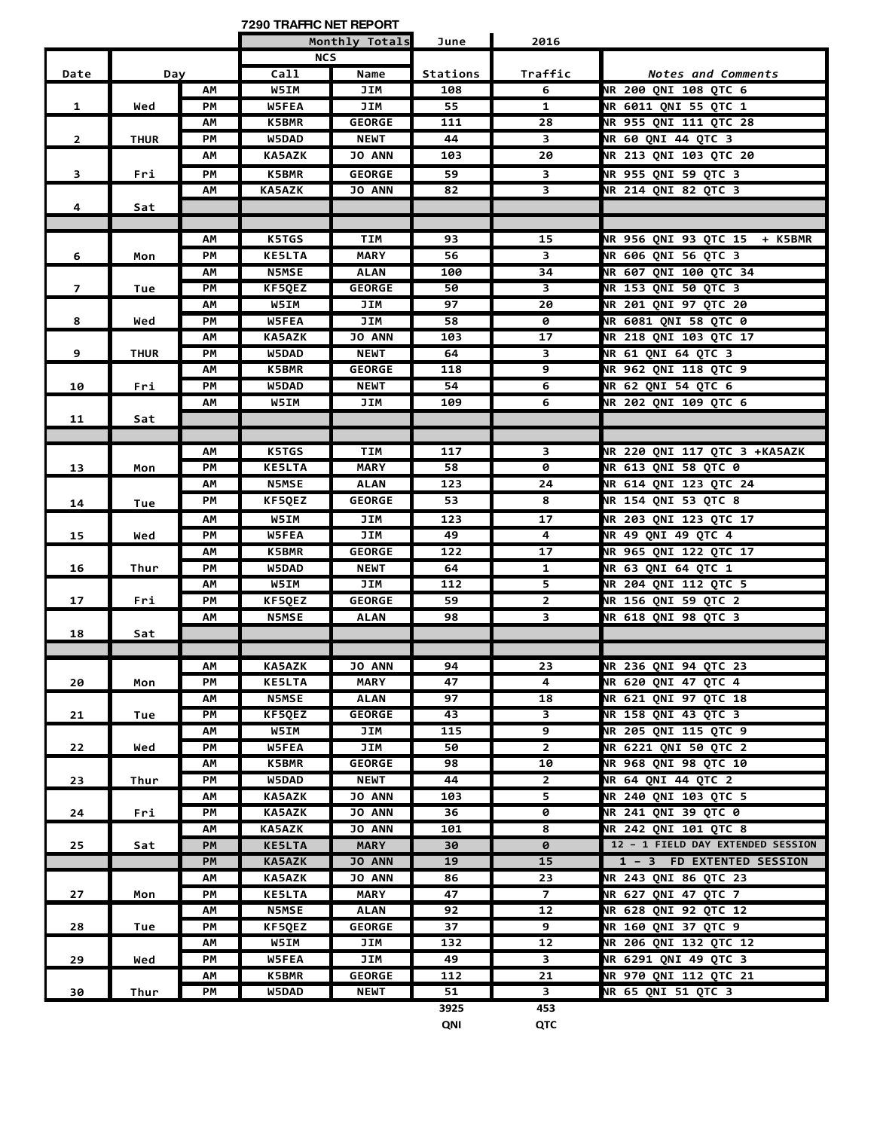**7290 TRAFFIC NET REPORT**

|                |             |    |               | Monthly Totals | June     | 2016                    |                                   |
|----------------|-------------|----|---------------|----------------|----------|-------------------------|-----------------------------------|
|                |             |    | <b>NCS</b>    |                |          |                         |                                   |
| Date           | Day         |    | Call          | Name           | Stations | Traffic                 | Notes and Comments                |
|                |             | AM | <b>W5IM</b>   | JIM            | 108      | 6                       | <b>NR 200 QNI 108 QTC 6</b>       |
| 1              | Wed         | PМ | <b>W5FEA</b>  | JIM            | 55       | 1                       | NR 6011 QNI 55 QTC 1              |
|                |             | ΑМ | <b>K5BMR</b>  | <b>GEORGE</b>  | 111      | 28                      | NR 955 QNI 111 QTC 28             |
| $\overline{2}$ | <b>THUR</b> | PМ | <b>W5DAD</b>  | <b>NEWT</b>    | 44       | 3                       | NR 60 QNI 44 QTC 3                |
|                |             | ΑМ | <b>KA5AZK</b> | JO ANN         | 103      | 20                      | NR 213 QNI 103 QTC 20             |
| 3              | Fri         | PM | K5BMR         | <b>GEORGE</b>  | 59       | 3                       | NR 955 QNI 59 QTC 3               |
|                |             | АΜ | <b>KA5AZK</b> | <b>JO ANN</b>  | 82       | 3                       | NR 214 QNI 82 QTC 3               |
| 4              | Sat         |    |               |                |          |                         |                                   |
|                |             |    |               |                |          |                         |                                   |
|                |             | АΜ | <b>K5TGS</b>  | TIM            | 93       | 15                      | NR 956 QNI 93 QTC 15 + K5BMR      |
| 6              | Mon         | PМ | <b>KE5LTA</b> | <b>MARY</b>    | 56       | $\overline{\mathbf{3}}$ | NR 606 QNI 56 QTC 3               |
|                |             | ΑМ | <b>N5MSE</b>  | <b>ALAN</b>    | 100      | $\overline{34}$         | NR 607 QNI 100 QTC 34             |
| $\overline{7}$ | Tue         | PM | KF5QEZ        | <b>GEORGE</b>  | 50       | 3                       | NR 153 QNI 50 QTC 3               |
|                |             | AM | <b>W5IM</b>   | <b>JIM</b>     | 97       | 20                      | NR 201 QNI 97 QTC 20              |
| 8              | Wed         | PМ | W5FEA         | JIM            | 58       | 0                       | <b>NR 6081 QNI 58 QTC 0</b>       |
|                |             | ΑМ | <b>KA5AZK</b> | <b>JO ANN</b>  | 103      | 17                      | NR 218 QNI 103 QTC 17             |
| 9              | <b>THUR</b> | PМ | W5DAD         | <b>NEWT</b>    | 64       | 3                       | <b>NR 61 QNI 64 QTC 3</b>         |
|                |             | ΑМ | <b>K5BMR</b>  | <b>GEORGE</b>  | 118      | 9                       | <b>NR 962 QNI 118 QTC 9</b>       |
| 10             | Fri         | PM | W5DAD         | <b>NEWT</b>    | 54       | 6                       | NR 62 QNI 54 QTC 6                |
|                |             | АM | <b>W5IM</b>   | JIM            | 109      | $\overline{6}$          | NR 202 QNI 109 QTC 6              |
| 11             | Sat         |    |               |                |          |                         |                                   |
|                |             |    |               |                |          |                         |                                   |
|                |             | ΑМ | K5TGS         | TIM            | 117      | 3                       | NR 220 QNI 117 QTC 3 +KA5AZK      |
| 13             | Mon         | PM | <b>KE5LTA</b> | <b>MARY</b>    | 58       | 0                       | <b>NR 613 QNI 58 QTC 0</b>        |
|                |             | ΑМ | <b>N5MSE</b>  | <b>ALAN</b>    | 123      | 24                      | NR 614 QNI 123 QTC 24             |
| 14             | Tue         | PМ | KF5QEZ        | <b>GEORGE</b>  | 53       | 8                       | NR 154 QNI 53 QTC 8               |
|                |             | ΑМ | W5IM          | JIM            | 123      | 17                      | NR 203 QNI 123 QTC 17             |
| 15             | Wed         | PM | W5FEA         | JIM            | 49       | 4                       | NR 49 QNI 49 QTC 4                |
|                |             | ΑМ | <b>K5BMR</b>  | <b>GEORGE</b>  | 122      | 17                      | NR 965 QNI 122 QTC 17             |
| 16             | Thur        | PМ | W5DAD         | <b>NEWT</b>    | 64       | 1                       | NR 63 QNI 64 QTC 1                |
|                |             | АΜ | W5IM          | JIM            | 112      | 5                       | NR 204 QNI 112 QTC 5              |
| 17             | Fri         | PM | KF5QEZ        | <b>GEORGE</b>  | 59       | $\overline{2}$          | NR 156 QNI 59 QTC 2               |
|                |             | АM | <b>N5MSE</b>  | <b>ALAN</b>    | 98       | $\overline{\mathbf{3}}$ | NR 618 QNI 98 QTC 3               |
| 18             | Sat         |    |               |                |          |                         |                                   |
|                |             |    |               |                |          |                         |                                   |
|                |             | AМ | <b>KA5AZK</b> | <b>JO ANN</b>  | 94       | 23                      | <b>NR 236 ONI 94 OTC 23</b>       |
| 20             | Mon         | РM | <b>KE5LTA</b> | <b>MARY</b>    | 47       | 4                       | NR 620 QNI 47 QTC 4               |
|                |             | AM | <b>N5MSE</b>  | <b>ALAN</b>    | 97       | 18                      | <b>NR 621 QNI 97 QTC 18</b>       |
| 21             | Tue         | PM | KF5QEZ        | <b>GEORGE</b>  | 43       | 3                       | NR 158 QNI 43 QTC 3               |
|                |             | AM | <b>W5IM</b>   | JIM            | 115      | 9                       | NR 205 QNI 115 QTC 9              |
| 22             | Wed         | PМ | <b>W5FEA</b>  | JIM            | 50       | $\mathbf{2}$            | <b>NR 6221 QNI 50 QTC 2</b>       |
|                |             | AΜ | <b>K5BMR</b>  | <b>GEORGE</b>  | 98       | 10                      | NR 968 QNI 98 QTC 10              |
| 23             | Thur        | PM | W5DAD         | <b>NEWT</b>    | 44       | $\mathbf{2}$            | NR 64 QNI 44 QTC 2                |
|                |             | АM | <b>KA5AZK</b> | <b>JO ANN</b>  | 103      | 5                       | NR 240 QNI 103 QTC 5              |
| 24             | Fri         | PM | <b>KA5AZK</b> | <b>JO ANN</b>  | 36       | 0                       | <b>NR 241 QNI 39 QTC 0</b>        |
|                |             | ΑМ | <b>KA5AZK</b> | <b>JO ANN</b>  | 101      | 8                       | NR 242 QNI 101 QTC 8              |
| 25             | Sat         | PM | <b>KE5LTA</b> | <b>MARY</b>    | 30       | 0                       | 12 - 1 FIELD DAY EXTENDED SESSION |
|                |             | PM | <b>KA5AZK</b> | <b>JO ANN</b>  | 19       | $\overline{15}$         | 1 - 3 FD EXTENTED SESSION         |
|                |             | ΑМ | <b>KA5AZK</b> | <b>JO ANN</b>  | 86       | 23                      | NR 243 QNI 86 QTC 23              |
| 27             | Mon         | PМ | <b>KE5LTA</b> | MARY           | 47       | $\overline{z}$          | NR 627 QNI 47 QTC 7               |
|                |             | ΑМ | N5MSE         | ALAN           | 92       | 12                      | NR 628 QNI 92 QTC 12              |
| 28             | Tue         | PМ | KF5QEZ        | <b>GEORGE</b>  | 37       | 9                       | NR 160 QNI 37 QTC 9               |
|                |             | ΑМ | <b>W5IM</b>   | JIM            | 132      | 12                      | NR 206 QNI 132 QTC 12             |
| 29             | Wed         | PМ | <b>W5FEA</b>  | JIM            | 49       | $\mathbf{3}$            | NR 6291 QNI 49 QTC 3              |
|                |             | АΜ | <b>K5BMR</b>  | <b>GEORGE</b>  | 112      | 21                      | NR 970 QNI 112 QTC 21             |
| 30             | Thur        | PМ | <b>W5DAD</b>  | <b>NEWT</b>    | 51       | $\overline{\mathbf{3}}$ | NR 65 QNI 51 QTC 3                |
|                |             |    |               |                | 3925     | 453                     |                                   |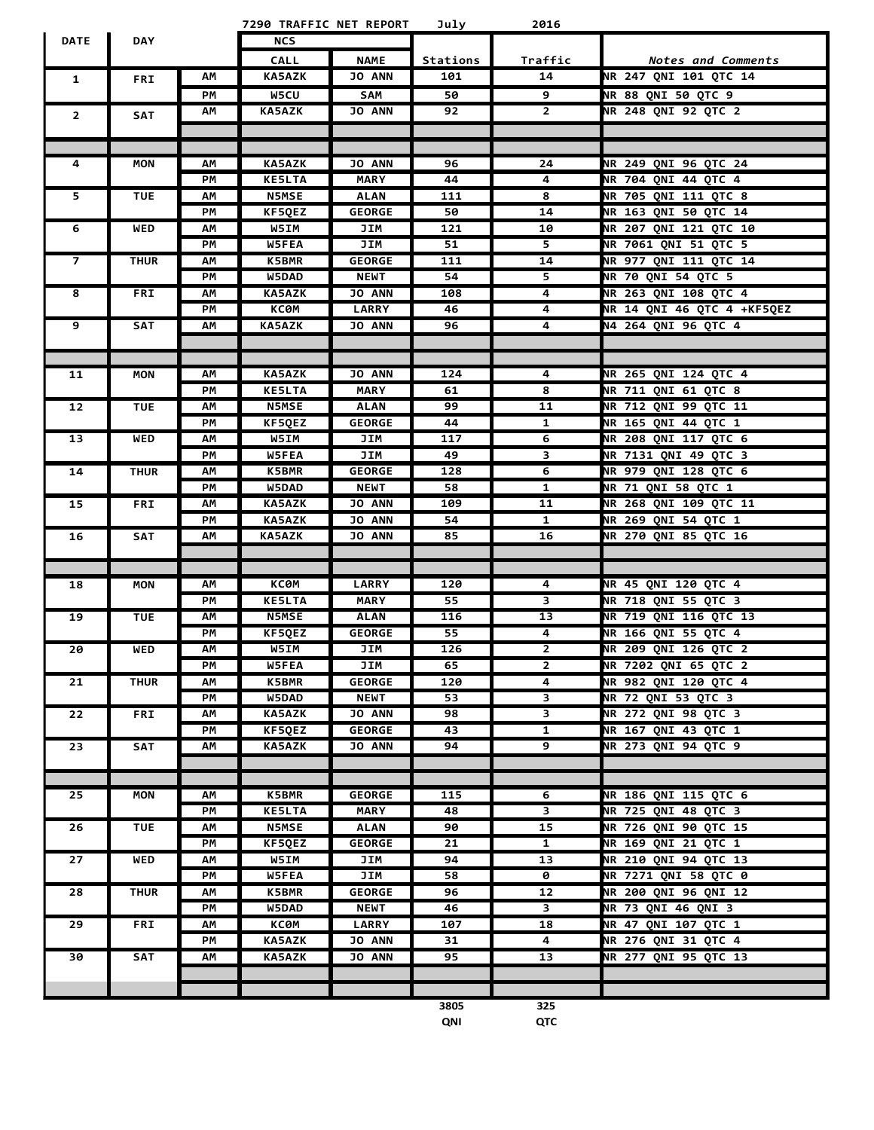|                |             |          | 7290 TRAFFIC NET REPORT |                      | July            | 2016                    |                                              |
|----------------|-------------|----------|-------------------------|----------------------|-----------------|-------------------------|----------------------------------------------|
| <b>DATE</b>    | <b>DAY</b>  |          | <b>NCS</b>              |                      |                 |                         |                                              |
|                |             |          | <b>CALL</b>             | <b>NAME</b>          | Stations        | Traffic                 | Notes and Comments                           |
| 1              | <b>FRI</b>  | АΜ       | <b>KA5AZK</b>           | <b>JO ANN</b>        | 101             | 14                      | NR 247 QNI 101 QTC 14                        |
|                |             | PМ       | W5CU                    | <b>SAM</b>           | 50              | 9                       | NR 88 QNI 50 QTC 9                           |
|                |             | ΑМ       | <b>KA5AZK</b>           | <b>JO ANN</b>        | 92              | $\mathbf{2}$            | NR 248 QNI 92 QTC 2                          |
| $\overline{2}$ | <b>SAT</b>  |          |                         |                      |                 |                         |                                              |
|                |             |          |                         |                      |                 |                         |                                              |
| 4              | MON         | АΜ       | <b>KA5AZK</b>           | <b>JO ANN</b>        | 96              | 24                      | NR 249 ONI 96 OTC 24                         |
|                |             | PM       | <b>KE5LTA</b>           | <b>MARY</b>          | 44              | 4                       | NR 704 QNI 44 QTC 4                          |
| 5              | <b>TUE</b>  | AM       | <b>N5MSE</b>            | <b>ALAN</b>          | 111             | 8                       | NR 705 QNI 111 QTC 8                         |
|                |             | PМ       | KF5QEZ                  | <b>GEORGE</b>        | 50              | 14                      | NR 163 QNI 50 QTC 14                         |
| 6              | WED         | АΜ       | W5IM                    | JIM                  | 121             | 10                      | <b>NR 207 QNI 121 QTC 10</b>                 |
|                |             | PМ       | W5FEA                   | JIM                  | 51              | 5                       | NR 7061 QNI 51 QTC 5                         |
|                | <b>THUR</b> | ΑМ       | <b>K5BMR</b>            | <b>GEORGE</b>        | 111             | 14                      | NR 977 QNI 111 QTC 14                        |
|                |             | PM       | W5DAD                   | <b>NEWT</b>          | 54              | 5                       | NR 70 QNI 54 QTC 5                           |
| 8              | <b>FRI</b>  | АM       | <b>KA5AZK</b>           | <b>JO ANN</b>        | 108             | $\overline{4}$          | <b>NR 263 QNI 108 QTC 4</b>                  |
|                |             | PМ       | КСӨМ                    | <b>LARRY</b>         | 46              | $\overline{4}$          | NR 14 QNI 46 QTC 4 +KF5QEZ                   |
| 9              | <b>SAT</b>  | ΑМ       | <b>KA5AZK</b>           | <b>JO ANN</b>        | 96              | $\overline{4}$          | <b>N4 264 QNI 96 QTC 4</b>                   |
|                |             |          |                         |                      |                 |                         |                                              |
|                |             |          |                         |                      |                 |                         |                                              |
| 11             | <b>MON</b>  | АΜ       | <b>KA5AZK</b>           | <b>JO ANN</b>        | 124             | 4                       | NR 265 QNI 124 QTC 4                         |
|                |             | PМ       | <b>KE5LTA</b>           | <b>MARY</b>          | 61              | 8                       | <b>NR 711 QNI 61 QTC 8</b>                   |
| 12             | <b>TUE</b>  | ΑМ       | <b>N5MSE</b>            | <b>ALAN</b>          | 99              | 11                      | NR 712 QNI 99 QTC 11                         |
|                |             | PM       | KF5QEZ                  | <b>GEORGE</b>        | 44              | $\mathbf{1}$            | NR 165 QNI 44 QTC 1                          |
| 13             | <b>WED</b>  | АΜ       | <b>W5IM</b>             | JIM                  | 117             | $\overline{6}$          | NR 208 QNI 117 QTC 6                         |
|                |             | PМ       | W5FEA<br>K5BMR          | JIM<br><b>GEORGE</b> | 49<br>128       | 3<br>6                  | NR 7131 QNI 49 QTC 3<br>NR 979 QNI 128 QTC 6 |
| 14             | <b>THUR</b> | АΜ<br>PM | W5DAD                   | <b>NEWT</b>          | 58              | 1                       | NR 71 QNI 58 QTC 1                           |
| 15             | <b>FRI</b>  | АM       | <b>KA5AZK</b>           | <b>JO ANN</b>        | 109             | 11                      | NR 268 QNI 109 QTC 11                        |
|                |             | PМ       | <b>KA5AZK</b>           | <b>JO ANN</b>        | 54              | 1                       | NR 269 QNI 54 QTC 1                          |
| 16             | SAT         | ΑМ       | <b>KA5AZK</b>           | <b>JO ANN</b>        | 85              | 16                      | NR 270 QNI 85 QTC 16                         |
|                |             |          |                         |                      |                 |                         |                                              |
|                |             |          |                         |                      |                 |                         |                                              |
| 18             | <b>MON</b>  | ΑМ       | КСӨМ                    | <b>LARRY</b>         | 120             | 4                       | NR 45 QNI 120 QTC 4                          |
|                |             | PМ       | <b>KE5LTA</b>           | <b>MARY</b>          | 55              | $\overline{\mathbf{3}}$ | NR 718 QNI 55 QTC 3                          |
| 19             | <b>TUE</b>  | ΑМ       | <b>N5MSE</b>            | <b>ALAN</b>          | 116             | 13                      | <b>NR 719 QNI 116 QTC 13</b>                 |
|                |             | PМ       | KF5QEZ                  | <b>GEORGE</b>        | $\overline{55}$ | 4                       | NR 166 QNI 55 QTC 4                          |
| 20             | <b>WED</b>  | AM       | W5IM                    | <b>JIM</b>           | 126             | $\overline{2}$          | NR 209 QNI 126 QTC 2                         |
|                |             | PM       | W5FEA                   | JIM                  | 65              | $\mathbf{2}$            | NR 7202 QNI 65 QTC 2                         |
| 21             | <b>THUR</b> | АΜ       | <b>K5BMR</b>            | <b>GEORGE</b>        | 120             | 4                       | NR 982 QNI 120 QTC 4                         |
|                |             | PM       | W5DAD                   | <b>NEWT</b>          | 53              | 3                       | NR 72 QNI 53 QTC 3                           |
| 22             | <b>FRI</b>  | АΜ       | <b>KA5AZK</b>           | JO ANN               | 98              | 3                       | NR 272 QNI 98 QTC 3                          |
|                |             | PM       | KF5QEZ                  | <b>GEORGE</b>        | 43              | $\overline{1}$          | NR 167 QNI 43 QTC 1                          |
| 23             | SAT         | ΑM       | <b>KA5AZK</b>           | <b>JO ANN</b>        | 94              | 9                       | NR 273 QNI 94 QTC 9                          |
|                |             |          |                         |                      |                 |                         |                                              |
| 25             | <b>MON</b>  | АΜ       | <b>K5BMR</b>            | <b>GEORGE</b>        | 115             | 6                       | NR 186 QNI 115 QTC 6                         |
|                |             | PМ       | <b>KE5LTA</b>           | <b>MARY</b>          | 48              | 3                       | NR 725 QNI 48 QTC 3                          |
| 26             | <b>TUE</b>  | ΑМ       | <b>N5MSE</b>            | <b>ALAN</b>          | 90              | 15                      | NR 726 QNI 90 QTC 15                         |
|                |             | PМ       | KF5QEZ                  | <b>GEORGE</b>        | 21              | 1                       | NR 169 QNI 21 QTC 1                          |
| 27             | <b>WED</b>  | АΜ       | <b>W5IM</b>             | JIM                  | 94              | 13                      | NR 210 QNI 94 QTC 13                         |
|                |             | PM       | W5FEA                   | JIM                  | 58              | 0                       | NR 7271 QNI 58 QTC 0                         |
| 28             | <b>THUR</b> | АΜ       | <b>K5BMR</b>            | <b>GEORGE</b>        | 96              | 12                      | NR 200 QNI 96 QNI 12                         |
|                |             | PМ       | W5DAD                   | <b>NEWT</b>          | 46              | 3                       | NR 73 QNI 46 QNI 3                           |
| 29             | FRI         | АΜ       | КСӨМ                    | <b>LARRY</b>         | 107             | 18                      | NR 47 QNI 107 QTC 1                          |
|                |             | PМ       | <b>KA5AZK</b>           | JO ANN               | 31              | 4                       | NR 276 QNI 31 QTC 4                          |
| 30             | SAT         | АΜ       | <b>KA5AZK</b>           | JO ANN               | 95              | 13                      | NR 277 QNI 95 QTC 13                         |
|                |             |          |                         |                      |                 |                         |                                              |
|                |             |          |                         |                      |                 |                         |                                              |

**3805 325 QNI QTC**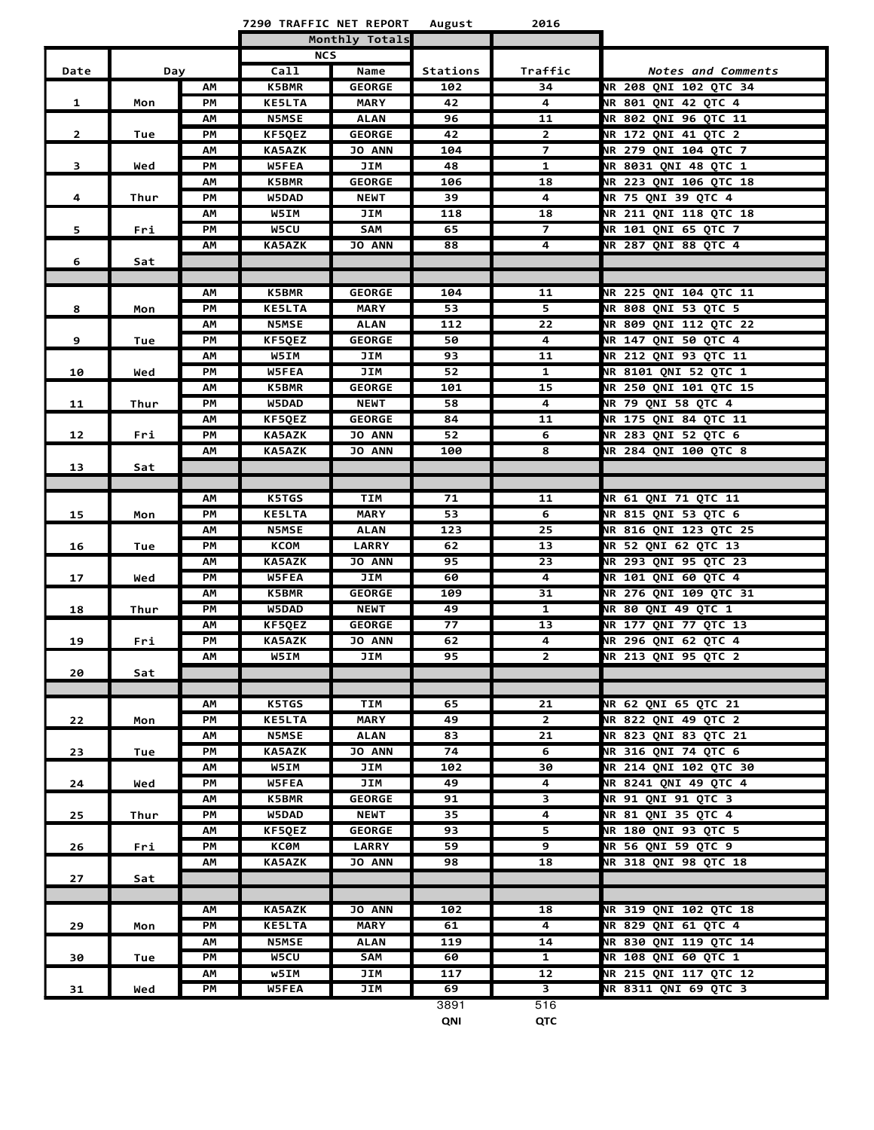**7290 TRAFFIC NET REPORT August 2016**

L

|                |      |    |               | Monthly Totals |                 |                         |                              |
|----------------|------|----|---------------|----------------|-----------------|-------------------------|------------------------------|
| Date<br>Day    |      |    | <b>NCS</b>    |                |                 |                         |                              |
|                |      |    | Call          | Name           | Stations        | Traffic                 | Notes and Comments           |
|                |      | АM | <b>K5BMR</b>  | <b>GEORGE</b>  | 102             | 34                      | NR 208 QNI 102 QTC 34        |
| $\mathbf{1}$   | Mon  | PM | <b>KE5LTA</b> | <b>MARY</b>    | 42              | 4                       | <b>NR 801 QNI 42 QTC 4</b>   |
|                |      | ΑМ | <b>N5MSE</b>  | <b>ALAN</b>    | 96              | 11                      | <b>NR 802 QNI 96 QTC 11</b>  |
| $\overline{2}$ | Tue  | PM | KF5QEZ        | <b>GEORGE</b>  | 42              | $\mathbf{2}$            | NR 172 QNI 41 QTC 2          |
|                |      | АM | <b>KA5AZK</b> | JO ANN         | 104             | $\overline{7}$          | NR 279 QNI 104 QTC 7         |
| 3              | Wed  | PM | W5FEA         | JIM            | 48              | $\mathbf{1}$            | NR 8031 QNI 48 QTC 1         |
|                |      | ΑМ | <b>K5BMR</b>  | <b>GEORGE</b>  | 106             | 18                      | NR 223 ONI 106 OTC 18        |
| 4              | Thur | PM | W5DAD         | <b>NEWT</b>    | 39              | 4                       | NR 75 QNI 39 QTC 4           |
|                |      | ΑМ | W5IM          | JIM            | 118             | 18                      | <b>NR 211 QNI 118 QTC 18</b> |
| 5              | Fri  | PM | W5CU          | SAM            | 65              | 7                       | <b>NR 101 QNI 65 QTC 7</b>   |
|                |      | AM | <b>KA5AZK</b> | JO ANN         | 88              | 4                       | <b>NR 287 QNI 88 QTC 4</b>   |
| 6              | Sat  |    |               |                |                 |                         |                              |
|                |      |    |               |                |                 |                         |                              |
|                |      | АM | <b>K5BMR</b>  | <b>GEORGE</b>  | 104             | 11                      | NR 225 QNI 104 QTC 11        |
| 8              | Mon  | PM | <b>KE5LTA</b> | <b>MARY</b>    | 53              | 5.                      | NR 808 QNI 53 QTC 5          |
|                |      | ΑМ | <b>N5MSE</b>  | <b>ALAN</b>    | 112             | 22                      | NR 809 QNI 112 QTC 22        |
| 9              | Tue  | PM | KF5QEZ        | <b>GEORGE</b>  | 50              | 4                       | <b>NR 147 QNI 50 QTC 4</b>   |
|                |      | АM | W5IM          | JIM            | 93              | $\overline{11}$         | <b>NR 212 QNI 93 QTC 11</b>  |
| 10             | Wed  | PМ | W5FEA         | JIM            | 52              | $\mathbf{1}$            | <b>NR 8101 ONI 52 OTC 1</b>  |
|                |      | ΑМ | K5BMR         | <b>GEORGE</b>  | 101             | 15                      | NR 250 ONI 101 OTC 15        |
| 11             | Thur | PM | W5DAD         | <b>NEWT</b>    | 58              | 4                       | NR 79 QNI 58 QTC 4           |
|                |      | ΑМ | KF5QEZ        | <b>GEORGE</b>  | 84              | 11                      | NR 175 QNI 84 QTC 11         |
| 12             | Fri  | PM | <b>KA5AZK</b> | <b>JO ANN</b>  | 52              | 6                       | NR 283 QNI 52 QTC 6          |
|                |      | ΑМ | <b>KA5AZK</b> | JO ANN         | 100             | 8                       | <b>NR 284 QNI 100 QTC 8</b>  |
| 13             | Sat  |    |               |                |                 |                         |                              |
|                |      |    |               |                |                 |                         |                              |
|                |      | АM | K5TGS         | <b>TIM</b>     | 71              | 11                      | NR 61 QNI 71 QTC 11          |
| 15             | Mon  | PM | <b>KE5LTA</b> | <b>MARY</b>    | 53              | 6                       | NR 815 QNI 53 QTC 6          |
|                |      | ΑМ | <b>N5MSE</b>  | <b>ALAN</b>    | 123             | 25                      | NR 816 QNI 123 QTC 25        |
| 16             | Tue  | PM | <b>KCOM</b>   | <b>LARRY</b>   | 62              | 13                      | NR 52 QNI 62 QTC 13          |
|                |      | AМ | <b>KA5AZK</b> | JO ANN         | 95              | $\overline{23}$         | NR 293 QNI 95 QTC 23         |
| 17             | Wed  | PM | W5FEA         | JIM            | 60              | 4                       | <b>NR 101 QNI 60 QTC 4</b>   |
|                |      | АM | <b>K5BMR</b>  | <b>GEORGE</b>  | 109             | 31                      | NR 276 QNI 109 QTC 31        |
| 18             | Thur | PM | W5DAD         | <b>NEWT</b>    | 49              | $\mathbf{1}$            | <b>NR 80 QNI 49 QTC 1</b>    |
|                |      | ΑМ | KF5QEZ        | <b>GEORGE</b>  | $\overline{77}$ | 13                      | NR 177 QNI 77 QTC 13         |
| 19             | Fri  | PM | <b>KA5AZK</b> | <b>JO ANN</b>  | 62              | 4                       | <b>NR 296 ONI 62 OTC 4</b>   |
|                |      | ΑМ | W5IM          | JIM            | 95              | $\mathbf{2}$            | NR 213 QNI 95 QTC 2          |
| 20             | Sat  |    |               |                |                 |                         |                              |
|                |      |    |               |                |                 |                         |                              |
|                |      | АM | <b>K5TGS</b>  | <b>TIM</b>     | 65              | 21                      | NR 62 QNI 65 QTC 21          |
| 22             | Mon  | PM | <b>KE5LTA</b> | <b>MARY</b>    | 49              | $\mathbf{2}$            | NR 822 QNI 49 QTC 2          |
|                |      | ΑМ | <b>N5MSE</b>  | ALAN           | 83              | 21                      | <b>NR 823 QNI 83 QTC 21</b>  |
| 23             | Tue  | PМ | <b>KA5AZK</b> | <b>JO ANN</b>  | 74              | 6                       | NR 316 QNI 74 QTC 6          |
|                |      | ΑМ | <b>W5IM</b>   | JIM            | 102             | 30                      | NR 214 QNI 102 QTC 30        |
| 24             | Wed  | PМ | <b>W5FEA</b>  | JIM            | 49              | 4                       | NR 8241 QNI 49 QTC 4         |
|                |      | АM | <b>K5BMR</b>  | <b>GEORGE</b>  | 91              | 3                       | NR 91 QNI 91 QTC 3           |
| 25             | Thur | РM | W5DAD         | <b>NEWT</b>    | 35              | 4                       | NR 81 ONI 35 OTC 4           |
|                |      | ΑМ | KF5QEZ        | <b>GEORGE</b>  | 93              | 5.                      | NR 180 QNI 93 QTC 5          |
| 26             | Fri  | PМ | ксөм          | <b>LARRY</b>   | 59              | 9                       | NR 56 QNI 59 QTC 9           |
|                |      | ΑМ | <b>KA5AZK</b> | <b>JO ANN</b>  | 98              | 18                      | NR 318 QNI 98 QTC 18         |
| 27             | Sat  |    |               |                |                 |                         |                              |
|                |      |    |               |                |                 |                         |                              |
|                |      | ΑМ | <b>KA5AZK</b> | <b>JO ANN</b>  | 102             | 18                      | NR 319 QNI 102 QTC 18        |
| 29             | Mon  | PM | <b>KE5LTA</b> | <b>MARY</b>    | 61              | 4                       | <b>NR 829 QNI 61 QTC 4</b>   |
|                |      | ΑМ | <b>N5MSE</b>  | <b>ALAN</b>    | 119             | 14                      | NR 830 QNI 119 QTC 14        |
| 30             | Tue  | PM | <b>W5CU</b>   | <b>SAM</b>     | 60              | 1                       | <b>NR 108 QNI 60 QTC 1</b>   |
|                |      | ΑМ | w5IM          | JIM            | 117             | 12                      | NR 215 QNI 117 QTC 12        |
| 31             | Wed  | PM | W5FEA         | JIM            | 69              | $\overline{\mathbf{3}}$ | NR 8311 QNI 69 QTC 3         |
|                |      |    |               |                | 3891            | 516                     |                              |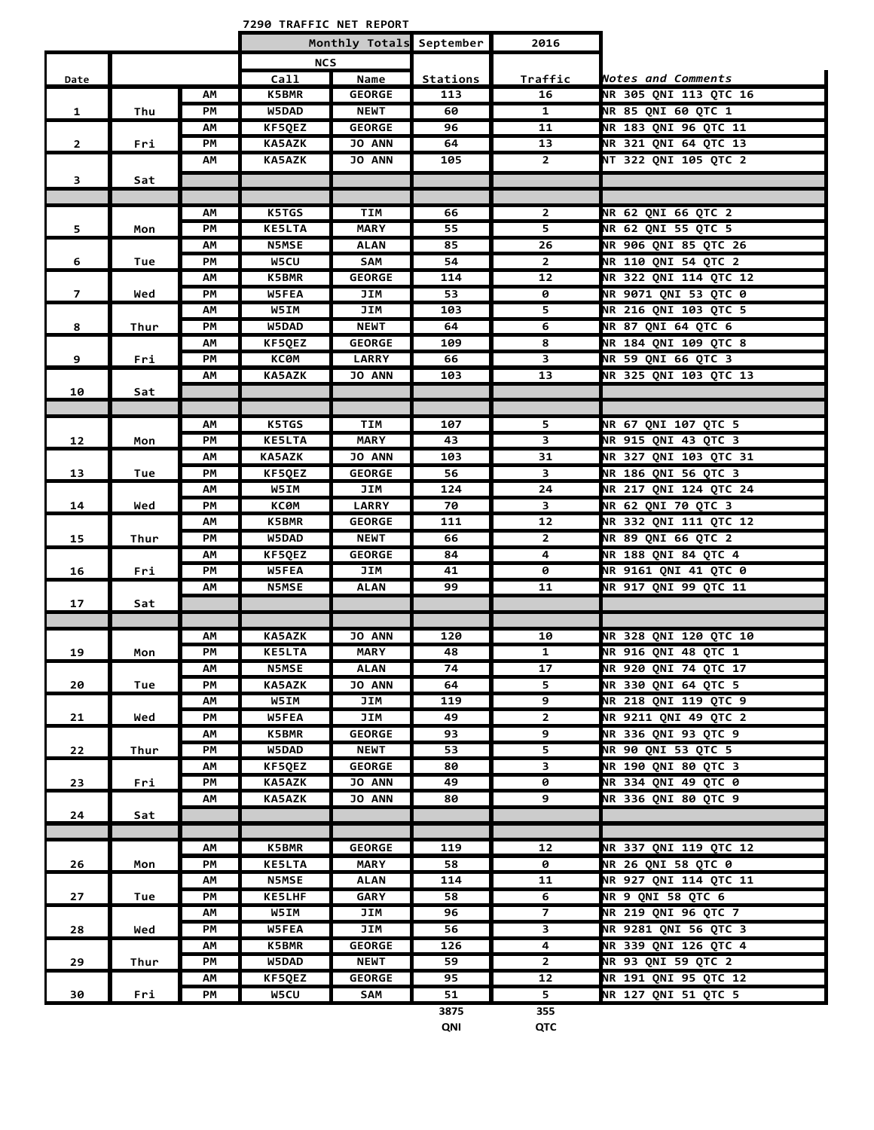**7290 TRAFFIC NET REPORT**

|                |      |    | Monthly Totals September |               |          | 2016                    |                              |
|----------------|------|----|--------------------------|---------------|----------|-------------------------|------------------------------|
|                |      |    | <b>NCS</b>               |               |          |                         |                              |
| Date           |      |    | Call                     | Name          | Stations | <b>Traffic</b>          | Notes and Comments           |
|                |      | АΜ | <b>K5BMR</b>             | <b>GEORGE</b> | 113      | 16                      | NR 305 ONI 113 OTC 16        |
| $\mathbf{1}$   | Thu  | ΡM | W5DAD                    | <b>NEWT</b>   | 60       | 1                       | <b>NR 85 QNI 60 QTC 1</b>    |
|                |      | АΜ | KF5QEZ                   | <b>GEORGE</b> | 96       | 11                      | <b>NR 183 QNI 96 QTC 11</b>  |
| $\mathbf{2}$   | Fri  | PМ | <b>KA5AZK</b>            | <b>JO ANN</b> | 64       | 13                      | NR 321 QNI 64 QTC 13         |
|                |      | АΜ | <b>KA5AZK</b>            | <b>JO ANN</b> | 105      | $\overline{2}$          | NT 322 QNI 105 QTC 2         |
| 3              | Sat  |    |                          |               |          |                         |                              |
|                |      |    |                          |               |          |                         |                              |
|                |      | АM | <b>K5TGS</b>             | <b>TIM</b>    | 66       | $\overline{2}$          | <b>NR 62 QNI 66 QTC 2</b>    |
| 5              | Mon  | PМ | <b>KE5LTA</b>            | <b>MARY</b>   | 55       | 5.                      | NR 62 QNI 55 QTC 5           |
|                |      | АΜ | <b>N5MSE</b>             | <b>ALAN</b>   | 85       | 26                      | NR 906 QNI 85 QTC 26         |
| 6              | Tue  | PМ | <b>W5CU</b>              | SAM           | 54       | $\mathbf{2}$            | <b>NR 110 QNI 54 QTC 2</b>   |
|                |      | ΑМ | K5BMR                    | <b>GEORGE</b> | 114      | 12                      | NR 322 QNI 114 QTC 12        |
| $\overline{7}$ | Wed  | PМ | <b>W5FEA</b>             | JIM           | 53       | ø                       | <b>NR 9071 QNI 53 QTC 0</b>  |
|                |      | АΜ | <b>W5IM</b>              | JIM           | 103      | $\overline{5}$          | NR 216 QNI 103 QTC 5         |
| 8              | Thur | PМ | W5DAD                    | <b>NEWT</b>   | 64       | 6                       | <b>NR 87 QNI 64 QTC 6</b>    |
|                |      | ΑМ | KF5QEZ                   | <b>GEORGE</b> | 109      | 8                       | NR 184 QNI 109 QTC 8         |
| 9              | Fri  | PM | <b>KC0M</b>              | <b>LARRY</b>  | 66       | 3                       | NR 59 QNI 66 QTC 3           |
|                |      | АΜ | <b>KA5AZK</b>            | JO ANN        | 103      | 13                      | NR 325 QNI 103 QTC 13        |
| 10             | Sat  |    |                          |               |          |                         |                              |
|                |      |    |                          |               |          |                         |                              |
|                |      | АΜ | <b>K5TGS</b>             | TIM           | 107      | 5                       | NR 67 QNI 107 QTC 5          |
| 12             | Mon  | PM | <b>KE5LTA</b>            | <b>MARY</b>   | 43       | 3                       | NR 915 QNI 43 QTC 3          |
|                |      | АM | <b>KA5AZK</b>            | <b>JO ANN</b> | 103      | 31                      | NR 327 QNI 103 QTC 31        |
| 13             | Tue  | PМ | KF5QEZ                   | <b>GEORGE</b> | 56       | $\overline{\mathbf{3}}$ | NR 186 QNI 56 QTC 3          |
|                |      | АΜ | W5IM                     | JIM           | 124      | 24                      | NR 217 QNI 124 QTC 24        |
| 14             | Wed  | PМ | <b>KC0M</b>              | <b>LARRY</b>  | 70       | 3                       | <b>NR 62 QNI 70 QTC 3</b>    |
|                |      | АΜ | K5BMR                    | <b>GEORGE</b> | 111      | 12                      | NR 332 QNI 111 QTC 12        |
| 15             | Thur | PМ | <b>W5DAD</b>             | <b>NEWT</b>   | 66       | $\mathbf{2}$            | NR 89 QNI 66 QTC 2           |
|                |      | ΑМ | <b>KF5QEZ</b>            | <b>GEORGE</b> | 84       | 4                       | <b>NR 188 QNI 84 QTC 4</b>   |
| 16             | Fri  | PМ | <b>W5FEA</b>             | JIM           | 41       | 0                       | <b>NR 9161 QNI 41 QTC 0</b>  |
|                |      | АΜ | <b>N5MSE</b>             | ALAN          | 99       | 11                      | <b>NR 917 QNI 99 QTC 11</b>  |
| 17             | Sat  |    |                          |               |          |                         |                              |
|                |      |    |                          |               |          |                         |                              |
|                |      | AΜ | <b>KA5AZK</b>            | <b>JO ANN</b> | 120      | 10                      | <b>NR 328 QNI 120 QTC 10</b> |
| 19             | Mon  | PМ | <b>KE5LTA</b>            | <b>MARY</b>   | 48       | 1                       | NR 916 QNI 48 QTC 1          |
|                |      | ΑМ | <b>N5MSE</b>             | <b>ALAN</b>   | 74       | 17                      | NR 920 QNI 74 QTC 17         |
| 20             | Tue  | PМ | <b>KA5AZK</b>            | <b>JO ANN</b> | 64       | 5                       | NR 330 QNI 64 QTC 5          |
|                |      | ΑМ | <b>W5IM</b>              | JIM           | 119      | 9                       | NR 218 QNI 119 QTC 9         |
| 21             | Wed  | РM | <b>W5FEA</b>             | JIM           | 49       | $\mathbf{2}$            | <b>NR 9211 ONI 49 OTC 2</b>  |
|                |      | ΑМ | <b>K5BMR</b>             | <b>GEORGE</b> | 93       | 9                       | NR 336 QNI 93 QTC 9          |
| 22             | Thur | РM | <b>W5DAD</b>             | <b>NEWT</b>   | 53       | 5                       | NR 90 QNI 53 QTC 5           |
|                |      | АΜ | KF5QEZ                   | <b>GEORGE</b> | 80       | 3                       | NR 190 QNI 80 QTC 3          |
| 23             | Fri  | PМ | <b>KA5AZK</b>            | JO ANN        | 49       | 0                       | <b>NR 334 QNI 49 QTC 0</b>   |
|                |      | ΑМ | <b>KA5AZK</b>            | <b>JO ANN</b> | 80       | 9                       | NR 336 QNI 80 QTC 9          |
| 24             | Sat  |    |                          |               |          |                         |                              |
|                |      |    |                          |               |          |                         |                              |
|                |      | АΜ | <b>K5BMR</b>             | <b>GEORGE</b> | 119      | 12                      | NR 337 QNI 119 QTC 12        |
| 26             | Mon  | PM | <b>KE5LTA</b>            | <b>MARY</b>   | 58       | 0                       | <b>NR 26 QNI 58 QTC 0</b>    |
|                |      | АΜ | <b>N5MSE</b>             | ALAN          | 114      | 11                      | NR 927 QNI 114 QTC 11        |
| 27             | Tue  | РM | <b>KE5LHF</b>            | GARY          | 58       | 6                       | <b>NR 9 QNI 58 QTC 6</b>     |
|                |      | АΜ | <b>W5IM</b>              | JIM           | 96       | $\overline{7}$          | NR 219 QNI 96 QTC 7          |
| 28             | Wed  | РM | W5FEA                    | JIM           | 56       | 3                       | NR 9281 QNI 56 QTC 3         |
|                |      | ΑМ | <b>K5BMR</b>             | <b>GEORGE</b> | 126      | 4                       | NR 339 QNI 126 QTC 4         |
| 29             | Thur | PМ | W5DAD                    | <b>NEWT</b>   | 59       | $\overline{2}$          | NR 93 QNI 59 QTC 2           |
|                |      | ΑМ | KF5QEZ                   | <b>GEORGE</b> | 95       | 12                      | NR 191 QNI 95 QTC 12         |
| 30             | Fri  | РM | W5CU                     | SAM           | 51       | 5 <sup>7</sup>          | NR 127 QNI 51 QTC 5          |
|                |      |    |                          |               | 3875     | 355                     |                              |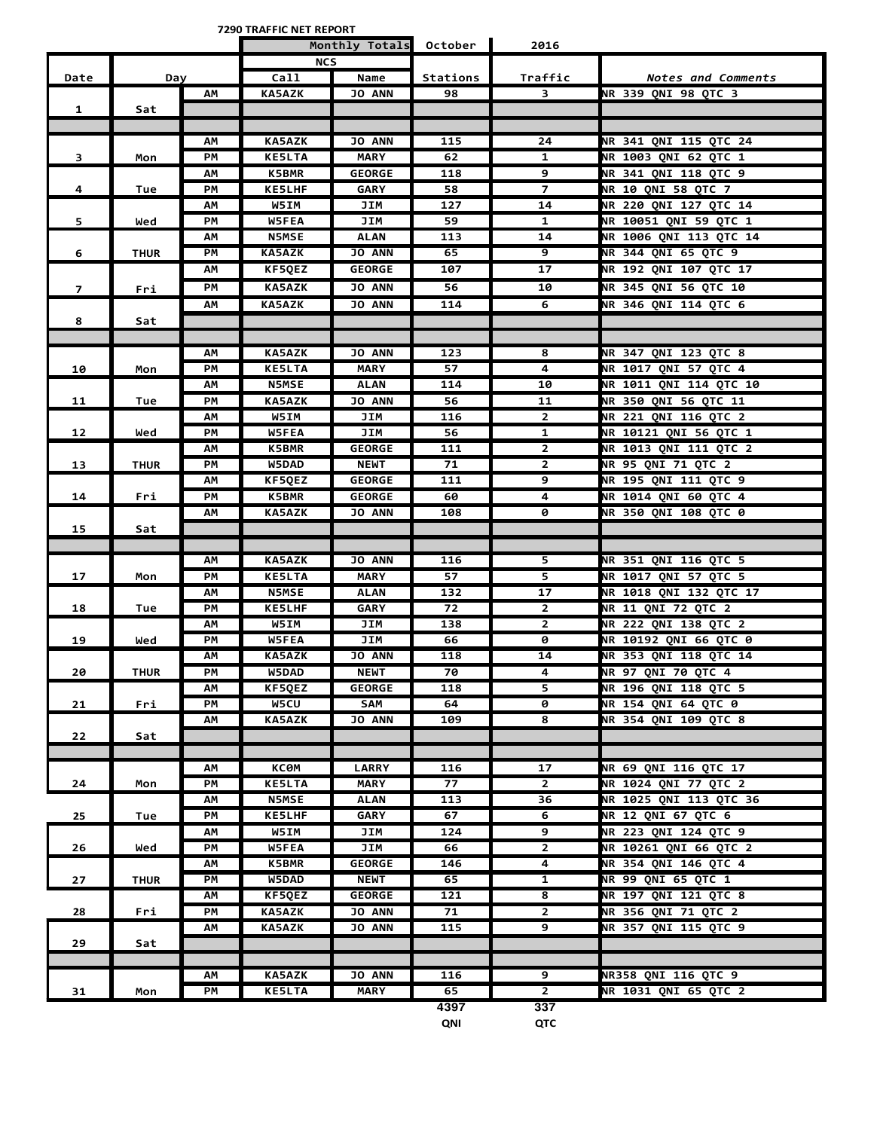**7290 TRAFFIC NET REPORT**

|                |             |    | Monthly Totals October |               | 2016     |                         |                              |
|----------------|-------------|----|------------------------|---------------|----------|-------------------------|------------------------------|
|                |             |    | <b>NCS</b>             |               |          |                         |                              |
| Date           | Day         |    | Call                   | Name          | Stations | Traffic                 | Notes and Comments           |
|                |             | АΜ | <b>KA5AZK</b>          | <b>JO ANN</b> | 98       | 3                       | NR 339 ONI 98 OTC 3          |
| 1              | Sat         |    |                        |               |          |                         |                              |
|                |             |    |                        |               |          |                         |                              |
|                |             | АΜ | <b>KA5AZK</b>          | <b>JO ANN</b> | 115      | 24                      | NR 341 QNI 115 QTC 24        |
| 3              | Mon         | PM | <b>KE5LTA</b>          | <b>MARY</b>   | 62       | $\mathbf{1}$            | <b>NR 1003 QNI 62 QTC 1</b>  |
|                |             | АΜ | <b>K5BMR</b>           | <b>GEORGE</b> | 118      | 9                       | NR 341 QNI 118 QTC 9         |
| 4              | Tue         | PM | <b>KE5LHF</b>          | <b>GARY</b>   | 58       | $\overline{z}$          | <b>NR 10 QNI 58 QTC 7</b>    |
|                |             | ΑМ | W5IM                   | JIM           | 127      | 14                      | <b>NR 220 QNI 127 QTC 14</b> |
| 5.             | Wed         | PМ | <b>W5FEA</b>           | JIM           | 59       | 1                       | NR 10051 QNI 59 QTC 1        |
|                |             | АΜ | <b>N5MSE</b>           | <b>ALAN</b>   | 113      | 14                      | NR 1006 QNI 113 QTC 14       |
| 6              | <b>THUR</b> | PМ | <b>KA5AZK</b>          | <b>JO ANN</b> | 65       | <u>र</u>                | <b>NR 344 QNI 65 QTC 9</b>   |
|                |             | АΜ | <b>KF5QEZ</b>          | <b>GEORGE</b> | 107      | $\overline{17}$         | NR 192 QNI 107 QTC 17        |
| $\overline{7}$ | Fri         | PМ | <b>KA5AZK</b>          | JO ANN        | 56       | 10                      | NR 345 QNI 56 QTC 10         |
|                |             | AM | <b>KA5AZK</b>          | <b>JO ANN</b> | 114      | 6                       | <b>NR 346 QNI 114 QTC 6</b>  |
| 8              | Sat         |    |                        |               |          |                         |                              |
|                |             |    |                        |               |          |                         |                              |
|                |             | АΜ | <b>KA5AZK</b>          | <b>JO ANN</b> | 123      | 8                       | NR 347 ONI 123 OTC 8         |
| 10             | Mon         | PМ | <b>KE5LTA</b>          | <b>MARY</b>   | 57       | 4                       | <b>NR 1017 QNI 57 QTC 4</b>  |
|                |             | ΑМ | <b>N5MSE</b>           | <b>ALAN</b>   | 114      | 10                      | NR 1011 QNI 114 QTC 10       |
| 11             | Tue         | PМ | <b>KA5AZK</b>          | <b>JO ANN</b> | 56       | 11                      | NR 350 QNI 56 QTC 11         |
|                |             | АΜ | W5IM                   | JIM           | 116      | $\mathbf{2}$            | <b>NR 221 QNI 116 QTC 2</b>  |
| 12             | Wed         | PМ | <b>W5FEA</b>           | JIM           | 56       | $\mathbf{1}$            | NR 10121 QNI 56 QTC 1        |
|                |             | АΜ | K5BMR                  | <b>GEORGE</b> | 111      | $\overline{2}$          | NR 1013 QNI 111 QTC 2        |
| 13             | <b>THUR</b> | PM | <b>W5DAD</b>           | <b>NEWT</b>   | 71       | $\overline{2}$          | NR 95 QNI 71 QTC 2           |
|                |             | АΜ | KF5QEZ                 | <b>GEORGE</b> | 111      | 9                       | NR 195 QNI 111 QTC 9         |
| 14             | Fri         | PM | <b>K5BMR</b>           | <b>GEORGE</b> | 60       | 4                       | <b>NR 1014 QNI 60 QTC 4</b>  |
|                |             | АΜ | <b>KA5AZK</b>          | <b>JO ANN</b> | 108      | 0                       | NR 350 QNI 108 QTC 0         |
| 15             | Sat         |    |                        |               |          |                         |                              |
|                |             |    |                        |               |          |                         |                              |
|                |             | АΜ | <b>KA5AZK</b>          | <b>JO ANN</b> | 116      | 5                       | NR 351 QNI 116 QTC 5         |
| 17             | Mon         | PM | <b>KE5LTA</b>          | <b>MARY</b>   | 57       | $\overline{\mathbf{5}}$ | NR 1017 QNI 57 QTC 5         |
|                |             | AM | <b>N5MSE</b>           | <b>ALAN</b>   | 132      | 17                      | NR 1018 QNI 132 QTC 17       |
| 18             | Tue         | PМ | <b>KE5LHF</b>          | GARY          | 72       | $\overline{2}$          | <b>NR 11 QNI 72 QTC 2</b>    |
|                |             | ΑМ | W5IM                   | JIM           | 138      | $\mathbf{2}$            | NR 222 QNI 138 QTC 2         |
| 19             | Wed         | PМ | <b>W5FEA</b>           | JIM           | 66       | ø                       | <b>NR 10192 ONI 66 OTC 0</b> |
|                |             | АΜ | <b>KA5AZK</b>          | <b>JO ANN</b> | 118      | 14                      | NR 353 QNI 118 QTC 14        |
| 20             | <b>THUR</b> | PМ | W5DAD                  | <b>NEWT</b>   | 70       | 4                       | <b>NR 97 QNI 70 QTC 4</b>    |
|                |             | АΜ | KF5QEZ                 | <b>GEORGE</b> | 118      | 5                       | NR 196 QNI 118 QTC 5         |
| 21             | Fri         | PM | W5CU                   | SAM           | 64       | 0                       | <b>NR 154 QNI 64 QTC 0</b>   |
|                |             | AM | <b>KA5AZK</b>          | JO ANN        | 109      | 8                       | NR 354 QNI 109 QTC 8         |
| 22             | Sat         |    |                        |               |          |                         |                              |
|                |             |    |                        |               |          |                         |                              |
|                |             | АΜ | <b>KC0M</b>            | <b>LARRY</b>  | 116      | 17                      | NR 69 QNI 116 QTC 17         |
| 24             | Mon         | РM | <b>KE5LTA</b>          | <b>MARY</b>   | 77       | $\overline{2}$          | NR 1024 QNI 77 QTC 2         |
|                |             | АΜ | <b>N5MSE</b>           | <b>ALAN</b>   | 113      | 36                      | NR 1025 QNI 113 QTC 36       |
| 25             | Tue         | PM | <b>KE5LHF</b>          | GARY          | 67       | 6                       | <b>NR 12 QNI 67 QTC 6</b>    |
|                |             | AM | W5IM                   | JIM           | 124      | 9                       | NR 223 QNI 124 QTC 9         |
| 26             | Wed         | PM | <b>W5FEA</b>           | JIM           | 66       | $\overline{2}$          | NR 10261 QNI 66 QTC 2        |
|                |             | АΜ | <b>K5BMR</b>           | <b>GEORGE</b> | 146      | 4                       | NR 354 QNI 146 QTC 4         |
| 27             | <b>THUR</b> | РM | W5DAD                  | <b>NEWT</b>   | 65       | $\mathbf{1}$            | NR 99 QNI 65 QTC 1           |
|                |             | ΑМ | KF5QEZ                 | <b>GEORGE</b> | 121      | $\overline{\mathbf{8}}$ | <b>NR 197 QNI 121 QTC 8</b>  |
| 28             | Fri         | PM | <b>KA5AZK</b>          | <b>JO ANN</b> | 71       | $\overline{2}$          | NR 356 QNI 71 QTC 2          |
|                |             | ΑМ | <b>KA5AZK</b>          | <b>JO ANN</b> | 115      | $\overline{9}$          | NR 357 QNI 115 QTC 9         |
| 29             | Sat         |    |                        |               |          |                         |                              |
|                |             |    |                        |               |          |                         |                              |
|                |             | АΜ | <b>KA5AZK</b>          | <b>JO ANN</b> | 116      | 9                       | <b>NR358 QNI 116 QTC 9</b>   |
| 31             | Mon         | РM | <b>KE5LTA</b>          | <b>MARY</b>   | 65       | $\overline{2}$          | NR 1031 QNI 65 QTC 2         |
|                |             |    |                        |               | 4397     | 337                     |                              |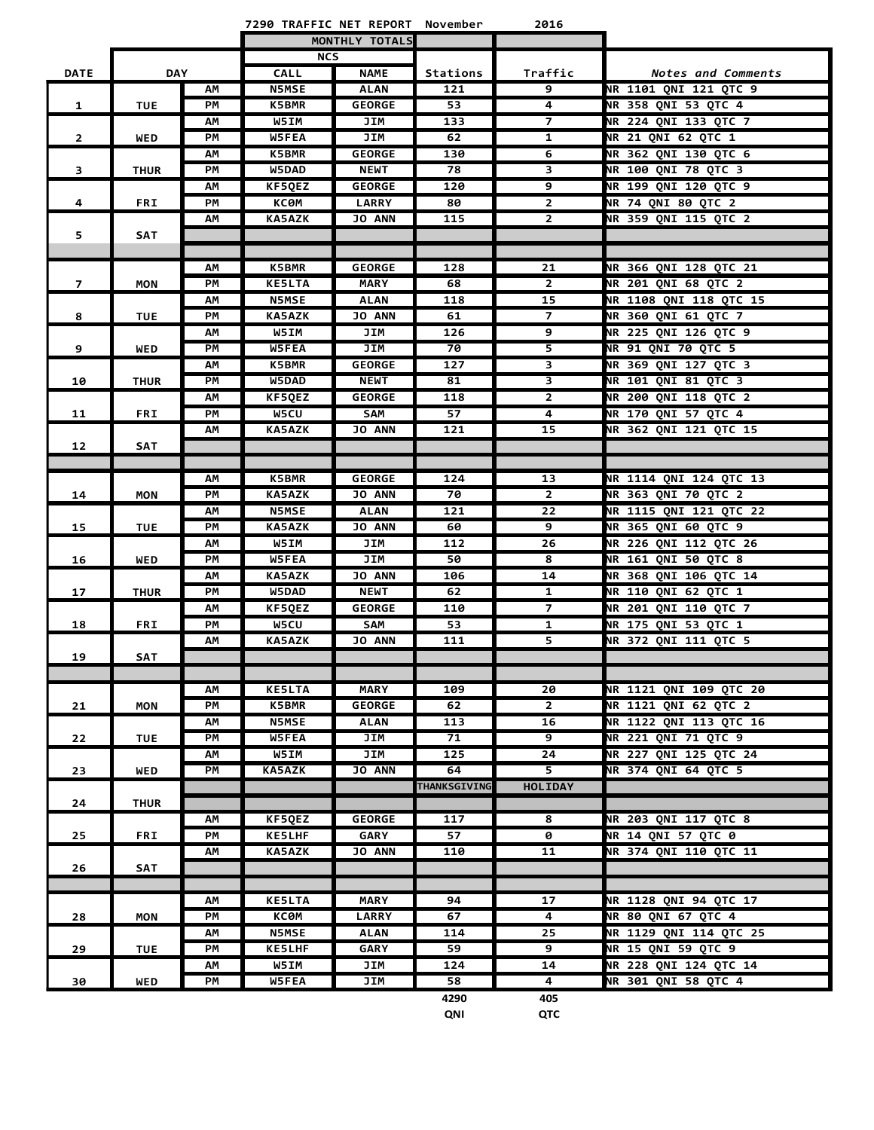|                         |             |          | 7290 TRAFFIC NET REPORT November |                |                     | 2016                    |                               |
|-------------------------|-------------|----------|----------------------------------|----------------|---------------------|-------------------------|-------------------------------|
|                         |             |          |                                  | MONTHLY TOTALS |                     |                         |                               |
|                         |             |          | <b>NCS</b>                       |                |                     |                         |                               |
| <b>DATE</b>             | <b>DAY</b>  |          | <b>CALL</b>                      | <b>NAME</b>    | Stations            | Traffic                 | Notes and Comments            |
|                         |             | АΜ       | <b>N5MSE</b>                     | <b>ALAN</b>    | 121                 | 9                       | NR 1101 QNI 121 QTC 9         |
| 1                       | <b>TUE</b>  | PM       | <b>K5BMR</b>                     | <b>GEORGE</b>  | 53                  | 4                       | NR 358 QNI 53 QTC 4           |
|                         |             | АΜ       | W5IM                             | JIM            | 133                 | $\overline{7}$          | NR 224 QNI 133 QTC 7          |
| $\mathbf{2}$            | <b>WED</b>  | PМ       | <b>W5FEA</b>                     | JIM            | 62                  | 1                       | <b>NR 21 QNI 62 QTC 1</b>     |
|                         |             | АΜ       | <b>K5BMR</b>                     | <b>GEORGE</b>  | 130                 | 6                       | NR 362 QNI 130 QTC 6          |
| $\overline{\mathbf{3}}$ | <b>THUR</b> | PM       | W5DAD                            | <b>NEWT</b>    | 78                  | 3                       | NR 100 QNI 78 QTC 3           |
|                         |             | АΜ       | <b>KF5QEZ</b>                    | <b>GEORGE</b>  | 120                 | 9                       | NR 199 QNI 120 QTC 9          |
| 4                       | <b>FRI</b>  | PM       | КСӨМ                             | <b>LARRY</b>   | 80                  | $\overline{2}$          | <b>NR 74 QNI 80 QTC 2</b>     |
|                         |             | АΜ       | <b>KA5AZK</b>                    | <b>JO ANN</b>  | 115                 | $\overline{2}$          | NR 359 QNI 115 QTC 2          |
| 5                       | <b>SAT</b>  |          |                                  |                |                     |                         |                               |
|                         |             |          |                                  |                |                     |                         |                               |
|                         |             | АΜ       | <b>K5BMR</b>                     | <b>GEORGE</b>  | 128                 | 21                      | NR 366 QNI 128 QTC 21         |
| $\overline{z}$          | <b>MON</b>  | PМ       | <b>KE5LTA</b>                    | <b>MARY</b>    | 68                  | $\mathbf{2}$            | <b>NR 201 QNI 68 QTC 2</b>    |
|                         |             | АΜ       | <b>N5MSE</b>                     | <b>ALAN</b>    | 118                 | 15                      | NR 1108 QNI 118 QTC 15        |
| 8                       | <b>TUE</b>  | PМ       | <b>KA5AZK</b>                    | <b>JO ANN</b>  | 61                  | $\overline{z}$          | NR 360 QNI 61 QTC 7           |
|                         |             | АΜ       | W5IM                             | JIM            | 126                 | 9                       | NR 225 QNI 126 QTC 9          |
| 9                       | <b>WED</b>  | PM       | W5FEA                            | JIM            | 70                  | 5                       | <b>NR 91 QNI 70 QTC 5</b>     |
|                         |             | AM       | <b>K5BMR</b>                     | <b>GEORGE</b>  | 127                 | $\overline{\mathbf{3}}$ | NR 369 QNI 127 QTC 3          |
| 10                      | <b>THUR</b> | PM       | <b>W5DAD</b>                     | <b>NEWT</b>    | 81                  | $\overline{\mathbf{3}}$ | NR 101 QNI 81 QTC 3           |
|                         |             | АΜ       | KF5QEZ                           | <b>GEORGE</b>  | 118                 | $\mathbf{2}$            | <b>NR 200 QNI 118 QTC 2</b>   |
| 11                      | <b>FRI</b>  | PM       | <b>W5CU</b>                      | SAM            | 57                  | 4                       | NR 170 QNI 57 QTC 4           |
|                         |             | АΜ       | <b>KA5AZK</b>                    | JO ANN         | 121                 | 15                      | NR 362 QNI 121 QTC 15         |
| 12                      | SAT         |          |                                  |                |                     |                         |                               |
|                         |             |          | <b>K5BMR</b>                     | <b>GEORGE</b>  | 124                 | 13                      | NR 1114 QNI 124 QTC 13        |
| 14                      | <b>MON</b>  | АΜ<br>PM | <b>KA5AZK</b>                    | JO ANN         | 70                  | $\mathbf{2}$            | NR 363 QNI 70 QTC 2           |
|                         |             | АΜ       | <b>N5MSE</b>                     | <b>ALAN</b>    | 121                 | $\overline{22}$         | NR 1115 QNI 121 QTC 22        |
| 15                      | <b>TUE</b>  | PМ       | <b>KA5AZK</b>                    | <b>JO ANN</b>  | 60                  | 9                       | NR 365 QNI 60 QTC 9           |
|                         |             | АΜ       | W5IM                             | JIM            | 112                 | 26                      | NR 226 QNI 112 QTC 26         |
| 16                      | <b>WED</b>  | PM       | W5FEA                            | JIM            | 50                  | 8                       | NR 161 QNI 50 QTC 8           |
|                         |             | АΜ       | <b>KA5AZK</b>                    | JO ANN         | 106                 | 14                      | NR 368 QNI 106 QTC 14         |
| 17                      | <b>THUR</b> | PМ       | <b>W5DAD</b>                     | <b>NEWT</b>    | 62                  | 1                       | <b>NR 110 QNI 62 QTC 1</b>    |
|                         |             | АΜ       | <b>KF5QEZ</b>                    | <b>GEORGE</b>  | 110                 | 7                       | <b>NR 201 QNI 110 QTC 7</b>   |
| 18                      | <b>FRI</b>  | PМ       | W5CU                             | SAM            | 53                  | 1                       | NR 175 QNI 53 QTC 1           |
|                         |             | АΜ       | <b>KA5AZK</b>                    | JO ANN         | 111                 | 5                       | NR 372 QNI 111 QTC 5          |
| 19                      | <b>SAT</b>  |          |                                  |                |                     |                         |                               |
|                         |             |          |                                  |                |                     |                         |                               |
|                         |             | АΜ       | <b>KE5LTA</b>                    | <b>MARY</b>    | 109                 | 20                      | <b>NR 1121 QNI 109 QTC 20</b> |
| 21                      | <b>MON</b>  | PM       | <b>K5BMR</b>                     | <b>GEORGE</b>  | 62                  | $\overline{2}$          | <b>NR 1121 QNI 62 QTC 2</b>   |
|                         |             | АΜ       | <b>N5MSE</b>                     | <b>ALAN</b>    | 113                 | 16                      | NR 1122 QNI 113 QTC 16        |
| 22                      | <b>TUE</b>  | PM       | W5FEA                            | JIM            | 71                  | 9                       | <b>NR 221 QNI 71 QTC 9</b>    |
|                         |             | АΜ       | W5IM                             | JIM            | 125                 | 24                      | NR 227 QNI 125 QTC 24         |
| 23                      | WED         | PМ       | <b>KA5AZK</b>                    | <b>JO ANN</b>  | 64                  | 5                       | NR 374 QNI 64 QTC 5           |
|                         |             |          |                                  |                | <b>THANKSGIVING</b> | <b>HOLIDAY</b>          |                               |
| 24                      | <b>THUR</b> |          |                                  |                |                     |                         |                               |
|                         |             | АΜ       | KF5QEZ                           | <b>GEORGE</b>  | 117                 | 8                       | NR 203 QNI 117 QTC 8          |
| 25                      | <b>FRI</b>  | PM       | <b>KE5LHF</b>                    | <b>GARY</b>    | 57                  | $\overline{0}$          | <b>NR 14 QNI 57 QTC 0</b>     |
|                         |             | АΜ       | <b>KA5AZK</b>                    | <b>JO ANN</b>  | 110                 | 11                      | NR 374 QNI 110 QTC 11         |
| 26                      | SAT         |          |                                  |                |                     |                         |                               |
|                         |             |          |                                  |                |                     |                         |                               |
|                         |             | АΜ       | <b>KE5LTA</b>                    | <b>MARY</b>    | 94                  | 17                      | <b>NR 1128 ONI 94 OTC 17</b>  |
| 28                      | <b>MON</b>  | PМ       | ксөм                             | <b>LARRY</b>   | 67                  | 4                       | <b>NR 80 QNI 67 QTC 4</b>     |
|                         |             | АΜ       | <b>N5MSE</b>                     | ALAN           | 114                 | 25                      | NR 1129 QNI 114 QTC 25        |
| 29                      | <b>TUE</b>  | PМ       | <b>KE5LHF</b>                    | <b>GARY</b>    | 59                  | 9                       | <b>NR 15 QNI 59 QTC 9</b>     |
|                         |             | АΜ       | W5IM                             | JIM            | 124                 | 14                      | NR 228 QNI 124 QTC 14         |
| 30                      | WED         | PМ       | W5FEA                            | JIM            | 58                  | 4                       | NR 301 QNI 58 QTC 4           |
|                         |             |          |                                  |                | 4290                | 405                     |                               |